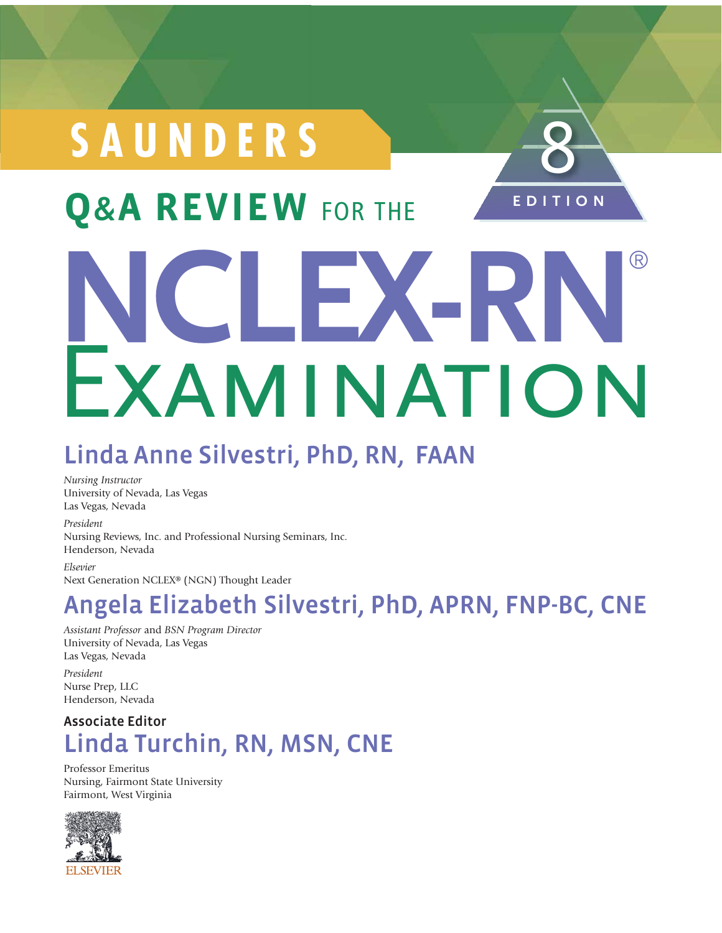# **S A U N D E R S Q**&**A REVIEW** FOR THE **NCLEX-RN**<br>EXAMINATION EXAMINATION **E D I T I O N**  8

### Linda Anne Silvestri, PhD, RN, FAAN

*Nursing Instructor* University of Nevada, Las Vegas Las Vegas, Nevada

*President* Nursing Reviews, Inc. and Professional Nursing Seminars, Inc. Henderson, Nevada

*Elsevier* Next Generation NCLEX® (NGN) Thought Leader

ngela Elizabeth Silvestri, PhD, APRN, FNP-BC, CNE

*Assistant Professor* and *BSN Program Director* University of Nevada, Las Vegas Las Vegas, Nevada

*President* Nurse Prep, LLC Henderson, Nevada

### Associate Editor Linda Turchin, RN, MSN, CNE

Professor Emeritus Nursing, Fairmont State University Fairmont, West Virginia

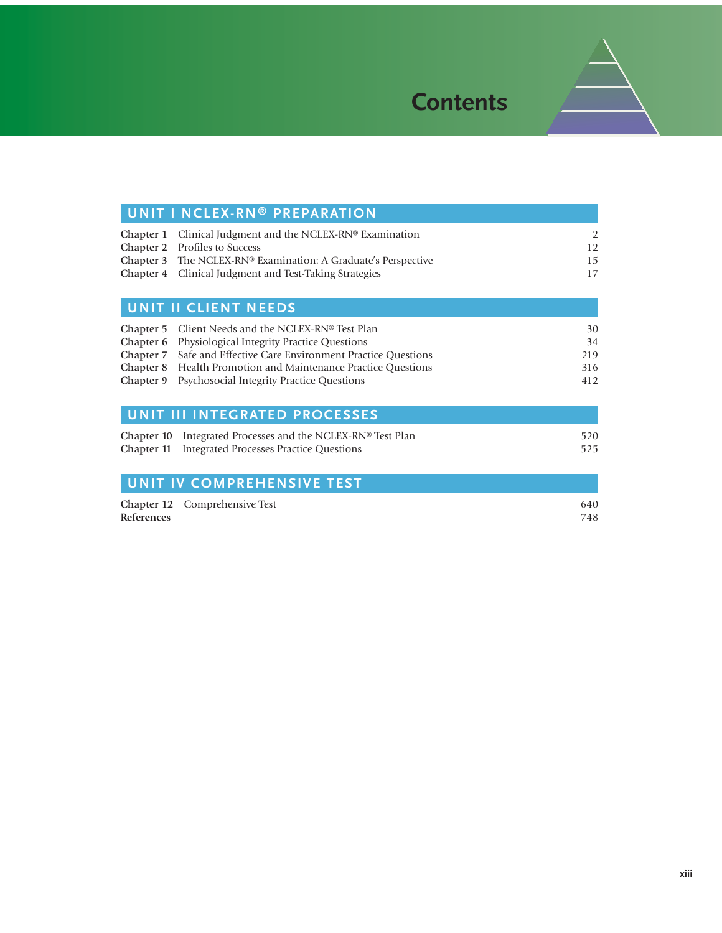

### **Contents**

|                          | UNIT I NCLEX-RN® PREPARATION                                                                                                                                                                                                                                                                     |                                  |
|--------------------------|--------------------------------------------------------------------------------------------------------------------------------------------------------------------------------------------------------------------------------------------------------------------------------------------------|----------------------------------|
| Chapter 1                | Clinical Judgment and the NCLEX-RN® Examination<br>Chapter 2 Profiles to Success<br><b>Chapter 3</b> The NCLEX-RN® Examination: A Graduate's Perspective<br>Chapter 4 Clinical Judgment and Test-Taking Strategies                                                                               | $\overline{2}$<br>12<br>15<br>17 |
|                          | UNIT II CLIENT NEEDS                                                                                                                                                                                                                                                                             |                                  |
| Chapter 5<br>Chapter 9   | Client Needs and the NCLEX-RN® Test Plan<br>Chapter 6 Physiological Integrity Practice Questions<br><b>Chapter 7</b> Safe and Effective Care Environment Practice Questions<br><b>Chapter 8</b> Health Promotion and Maintenance Practice Questions<br>Psychosocial Integrity Practice Questions | 30<br>34<br>219<br>316<br>412    |
|                          | UNIT III INTEGRATED PROCESSES                                                                                                                                                                                                                                                                    |                                  |
| Chapter 10<br>Chapter 11 | Integrated Processes and the NCLEX-RN® Test Plan<br><b>Integrated Processes Practice Questions</b>                                                                                                                                                                                               | 520<br>525                       |
|                          | UNIT IV COMPREHENSIVE TEST                                                                                                                                                                                                                                                                       |                                  |
| Chapter 12<br>References | Comprehensive Test                                                                                                                                                                                                                                                                               | 640<br>748                       |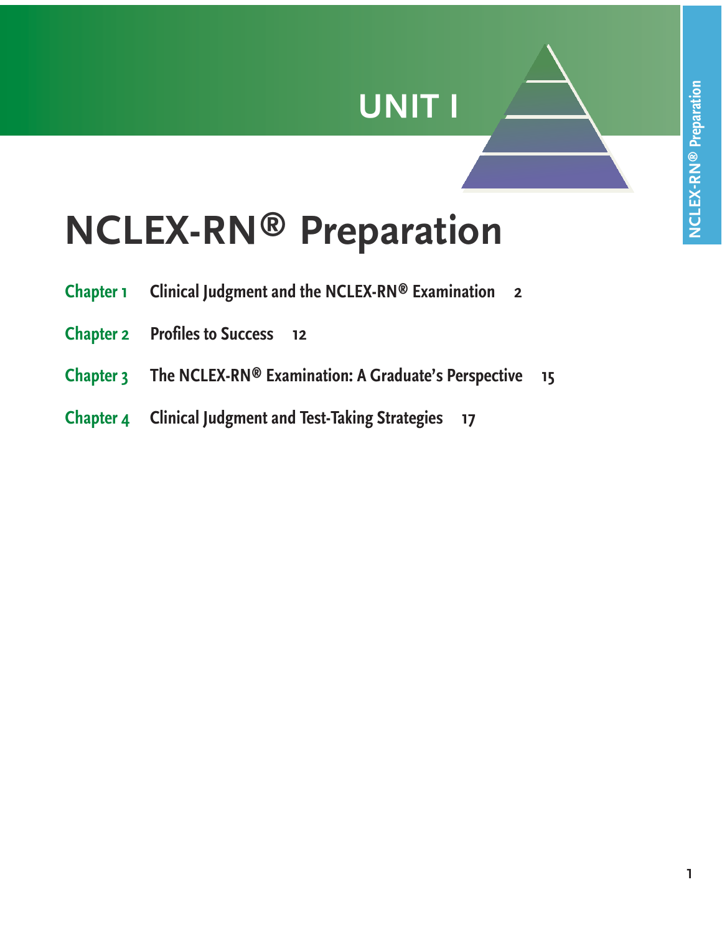### **UNIT I**

### **NCLEX-RN® Preparation**

- **Chapter 1 Clinical Judgment and the NCLEX-RN® Examination 2**
- **Chapter 2 Profiles to Success 12**
- **Chapter 3 The NCLEX-RN® Examination: A Graduate's Perspective 15**
- **Chapter 4 Clinical Judgment and Test-Taking Strategies 17**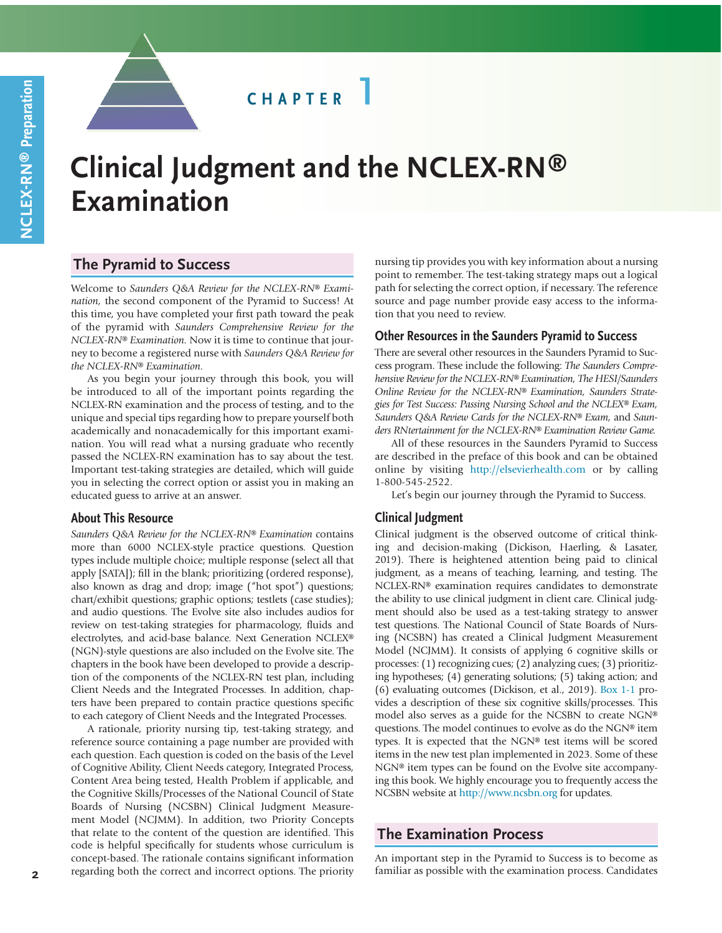**CHAPTER** 

### **Clinical Judgment and the NCLEX-RN® Examination**

#### **The Pyramid to Success**

Welcome to *Saunders Q&A Review for the NCLEX- RN*® *Examination,* the second component of the Pyramid to Success! At this time, you have completed your first path toward the peak of the pyramid with *Saunders Comprehensive Review for the NCLEX- RN*® *Examination.* Now it is time to continue that journey to become a registered nurse with *Saunders Q&A Review for the NCLEX- RN*® *Examination.*

As you begin your journey through this book, you will be introduced to all of the important points regarding the NCLEX-RN examination and the process of testing, and to the unique and special tips regarding how to prepare yourself both academically and nonacademically for this important examination. You will read what a nursing graduate who recently passed the NCLEX- RN examination has to say about the test. Important test-taking strategies are detailed, which will guide you in selecting the correct option or assist you in making an educated guess to arrive at an answer.

#### **About This Resource**

*Saunders Q&A Review for the NCLEX- RN*® *Examination* contains more than 6000 NCLEX-style practice questions. Question types include multiple choice; multiple response (select all that apply [SATA]); fill in the blank; prioritizing (ordered response), also known as drag and drop; image ("hot spot") questions; chart/exhibit questions; graphic options; testlets (case studies); and audio questions. The Evolve site also includes audios for review on test-taking strategies for pharmacology, fluids and electrolytes, and acid-base balance. Next Generation NCLEX® (NGN)- style questions are also included on the Evolve site. The chapters in the book have been developed to provide a description of the components of the NCLEX-RN test plan, including Client Needs and the Integrated Processes. In addition, chapters have been prepared to contain practice questions specific to each category of Client Needs and the Integrated Processes.

A rationale, priority nursing tip, test- taking strategy, and reference source containing a page number are provided with each question. Each question is coded on the basis of the Level of Cognitive Ability, Client Needs category, Integrated Process, Content Area being tested, Health Problem if applicable, and the Cognitive Skills/Processes of the National Council of State Boards of Nursing (NCSBN) Clinical Judgment Measurement Model (NCJMM). In addition, two Priority Concepts that relate to the content of the question are identified. This code is helpful specifically for students whose curriculum is concept- based. The rationale contains significant information regarding both the correct and incorrect options. The priority

nursing tip provides you with key information about a nursing point to remember. The test- taking strategy maps out a logical path for selecting the correct option, if necessary. The reference source and page number provide easy access to the information that you need to review.

#### **Other Resources in the Saunders Pyramid to Success**

There are several other resources in the Saunders Pyramid to Success program. These include the following: *The Saunders Comprehensive Review for the NCLEX- RN*® *Examination, The HESI/Saunders Online Review for the NCLEX- RN*® *Examination, Saunders Strategies for Test Success: Passing Nursing School and the NCLEX*® *Exam, Saunders Q&A Review Cards for the NCLEX- RN*® *Exam,* and *Saunders RNtertainment for the NCLEX- RN*® *Examination Review Game.*

All of these resources in the Saunders Pyramid to Success are described in the preface of this book and can be obtained online by visiting http://elsevierhealth.com or by calling 1- 800- 545- 2522.

Let's begin our journey through the Pyramid to Success.

#### **Clinical Judgment**

Clinical judgment is the observed outcome of critical thinking and decision-making (Dickison, Haerling, & Lasater, 2019). There is heightened attention being paid to clinical judgment, as a means of teaching, learning, and testing. The NCLEX- RN® examination requires candidates to demonstrate the ability to use clinical judgment in client care. Clinical judgment should also be used as a test-taking strategy to answer test questions. The National Council of State Boards of Nursing (NCSBN) has created a Clinical Judgment Measurement Model (NCJMM). It consists of applying 6 cognitive skills or processes: (1) recognizing cues; (2) analyzing cues; (3) prioritizing hypotheses; (4) generating solutions; (5) taking action; and (6) evaluating outcomes (Dickison, et al., 2019). Box  $1-1$  provides a description of these six cognitive skills/processes. This model also serves as a guide for the NCSBN to create NGN® questions. The model continues to evolve as do the NGN® item types. It is expected that the NGN® test items will be scored items in the new test plan implemented in 2023. Some of these NGN® item types can be found on the Evolve site accompanying this book. We highly encourage you to frequently access the NCSBN website at http://www.ncsbn.org for updates.

#### **The Examination Process**

An important step in the Pyramid to Success is to become as familiar as possible with the examination process. Candidates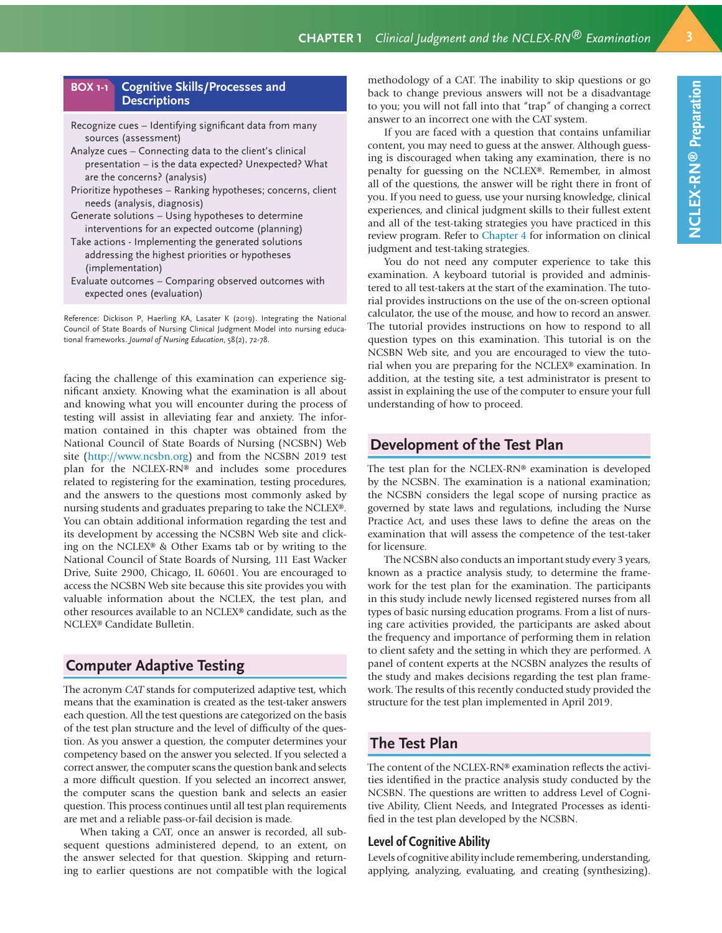**3**

#### **BOX 1-1** Cognitive Skills/Processes and **Descriptions**

- Recognize cues Identifying significant data from many sources (assessment) Analyze cues – Connecting data to the client's clinical
- presentation is the data expected? Unexpected? What are the concerns? (analysis)
- Prioritize hypotheses Ranking hypotheses; concerns, client needs (analysis, diagnosis)
- Generate solutions Using hypotheses to determine interventions for an expected outcome (planning)
- Take actions Implementing the generated solutions addressing the highest priorities or hypotheses (implementation)
- Evaluate outcomes Comparing observed outcomes with expected ones (evaluation)

Reference: Dickison P, Haerling KA, Lasater K (2019). Integrating the National Council of State Boards of Nursing Clinical Judgment Model into nursing educational frameworks. *Journal of Nursing Education*, 58(2), 72- 78.

facing the challenge of this examination can experience significant anxiety. Knowing what the examination is all about and knowing what you will encounter during the process of testing will assist in alleviating fear and anxiety. The information contained in this chapter was obtained from the National Council of State Boards of Nursing (NCSBN) Web site (http://www.ncsbn.org) and from the NCSBN 2019 test plan for the NCLEX-RN® and includes some procedures related to registering for the examination, testing procedures, and the answers to the questions most commonly asked by nursing students and graduates preparing to take the NCLEX®. You can obtain additional information regarding the test and its development by accessing the NCSBN Web site and clicking on the NCLEX® & Other Exams tab or by writing to the National Council of State Boards of Nursing, 111 East Wacker Drive, Suite 2900, Chicago, IL 60601. You are encouraged to access the NCSBN Web site because this site provides you with valuable information about the NCLEX, the test plan, and other resources available to an NCLEX® candidate, such as the NCLEX® Candidate Bulletin.

#### **Computer Adaptive Testing**

The acronym *CAT* stands for computerized adaptive test, which means that the examination is created as the test-taker answers each question. All the test questions are categorized on the basis of the test plan structure and the level of difficulty of the question. As you answer a question, the computer determines your competency based on the answer you selected. If you selected a correct answer, the computer scans the question bank and selects a more difficult question. If you selected an incorrect answer, the computer scans the question bank and selects an easier question. This process continues until all test plan requirements are met and a reliable pass-or-fail decision is made.

When taking a CAT, once an answer is recorded, all subsequent questions administered depend, to an extent, on the answer selected for that question. Skipping and returning to earlier questions are not compatible with the logical methodology of a CAT. The inability to skip questions or go back to change previous answers will not be a disadvantage to you; you will not fall into that "trap" of changing a correct answer to an incorrect one with the CAT system.

If you are faced with a question that contains unfamiliar content, you may need to guess at the answer. Although guessing is discouraged when taking any examination, there is no penalty for guessing on the NCLEX®. Remember, in almost all of the questions, the answer will be right there in front of you. If you need to guess, use your nursing knowledge, clinical experiences, and clinical judgment skills to their fullest extent and all of the test-taking strategies you have practiced in this review program. Refer to Chapter 4 for information on clinical judgment and test-taking strategies.

You do not need any computer experience to take this examination. A keyboard tutorial is provided and administered to all test- takers at the start of the examination. The tutorial provides instructions on the use of the on- screen optional calculator, the use of the mouse, and how to record an answer. The tutorial provides instructions on how to respond to all question types on this examination. This tutorial is on the NCSBN Web site, and you are encouraged to view the tutorial when you are preparing for the NCLEX® examination. In addition, at the testing site, a test administrator is present to assist in explaining the use of the computer to ensure your full understanding of how to proceed.

#### **Development of the Test Plan**

The test plan for the NCLEX-RN® examination is developed by the NCSBN. The examination is a national examination; the NCSBN considers the legal scope of nursing practice as governed by state laws and regulations, including the Nurse Practice Act, and uses these laws to define the areas on the examination that will assess the competence of the test-taker for licensure.

The NCSBN also conducts an important study every 3 years, known as a practice analysis study, to determine the framework for the test plan for the examination. The participants in this study include newly licensed registered nurses from all types of basic nursing education programs. From a list of nursing care activities provided, the participants are asked about the frequency and importance of performing them in relation to client safety and the setting in which they are performed. A panel of content experts at the NCSBN analyzes the results of the study and makes decisions regarding the test plan framework. The results of this recently conducted study provided the structure for the test plan implemented in April 2019.

#### **The Test Plan**

The content of the NCLEX-RN® examination reflects the activities identified in the practice analysis study conducted by the NCSBN. The questions are written to address Level of Cognitive Ability, Client Needs, and Integrated Processes as identified in the test plan developed by the NCSBN.

#### **Level of Cognitive Ability**

Levels of cognitive ability include remembering, understanding, applying, analyzing, evaluating, and creating (synthesizing).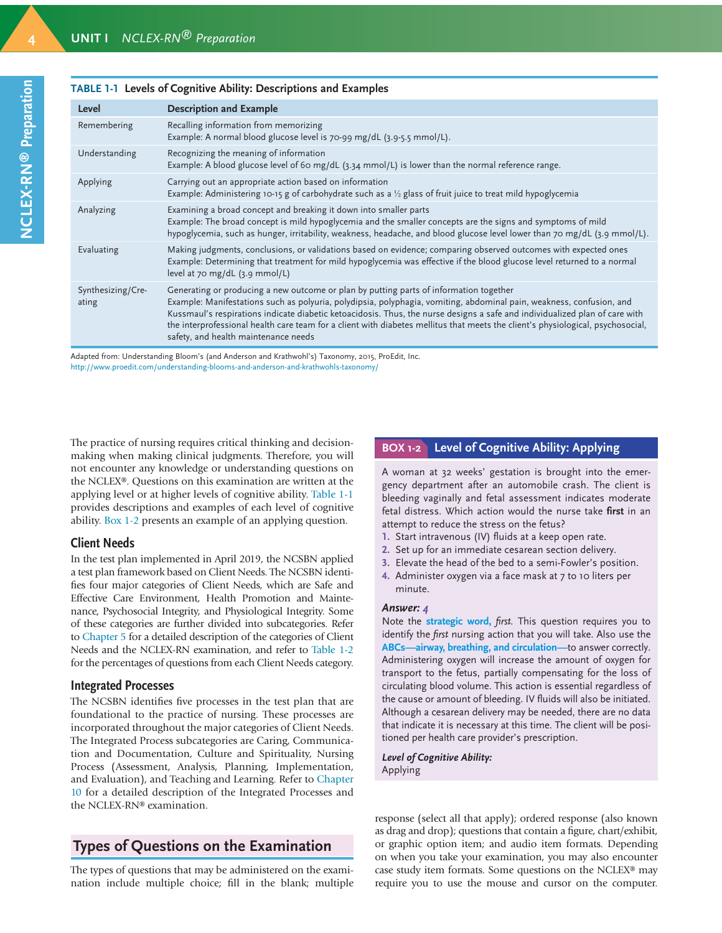| TABLE 1-1 Levels of Cognitive Ability: Descriptions and Examples |                                                                                                                                                                                                                                                                                                                                                                                                                                                                                                                          |  |  |
|------------------------------------------------------------------|--------------------------------------------------------------------------------------------------------------------------------------------------------------------------------------------------------------------------------------------------------------------------------------------------------------------------------------------------------------------------------------------------------------------------------------------------------------------------------------------------------------------------|--|--|
| Level                                                            | <b>Description and Example</b>                                                                                                                                                                                                                                                                                                                                                                                                                                                                                           |  |  |
| Remembering                                                      | Recalling information from memorizing<br>Example: A normal blood glucose level is 70-99 mg/dL (3.9-5.5 mmol/L).                                                                                                                                                                                                                                                                                                                                                                                                          |  |  |
| Understanding                                                    | Recognizing the meaning of information<br>Example: A blood glucose level of 60 mg/dL $(3.34 \text{ mmol/L})$ is lower than the normal reference range.                                                                                                                                                                                                                                                                                                                                                                   |  |  |
| Applying                                                         | Carrying out an appropriate action based on information<br>Example: Administering 10-15 g of carbohydrate such as a $\frac{1}{2}$ glass of fruit juice to treat mild hypoglycemia                                                                                                                                                                                                                                                                                                                                        |  |  |
| Analyzing                                                        | Examining a broad concept and breaking it down into smaller parts<br>Example: The broad concept is mild hypoglycemia and the smaller concepts are the signs and symptoms of mild<br>hypoglycemia, such as hunger, irritability, weakness, headache, and blood glucose level lower than 70 mg/dL (3.9 mmol/L).                                                                                                                                                                                                            |  |  |
| Evaluating                                                       | Making judgments, conclusions, or validations based on evidence; comparing observed outcomes with expected ones<br>Example: Determining that treatment for mild hypoglycemia was effective if the blood glucose level returned to a normal<br>level at 70 mg/dL (3.9 mmol/L)                                                                                                                                                                                                                                             |  |  |
| Synthesizing/Cre-<br>ating                                       | Generating or producing a new outcome or plan by putting parts of information together<br>Example: Manifestations such as polyuria, polydipsia, polyphagia, vomiting, abdominal pain, weakness, confusion, and<br>Kussmaul's respirations indicate diabetic ketoacidosis. Thus, the nurse designs a safe and individualized plan of care with<br>the interprofessional health care team for a client with diabetes mellitus that meets the client's physiological, psychosocial,<br>safety, and health maintenance needs |  |  |

Adapted from: Understanding Bloom's (and Anderson and Krathwohl's) Taxonomy, 2015, ProEdit, Inc. http://www.proedit.com/understanding-blooms-and-anderson-and-krathwohls-taxonomy/

The practice of nursing requires critical thinking and decisionmaking when making clinical judgments. Therefore, you will not encounter any knowledge or understanding questions on the NCLEX®. Questions on this examination are written at the applying level or at higher levels of cognitive ability. Table 1-1 provides descriptions and examples of each level of cognitive ability. Box 1-2 presents an example of an applying question.

#### **Client Needs**

In the test plan implemented in April 2019, the NCSBN applied a test plan framework based on Client Needs. The NCSBN identifies four major categories of Client Needs, which are Safe and Effective Care Environment, Health Promotion and Maintenance, Psychosocial Integrity, and Physiological Integrity. Some of these categories are further divided into subcategories. Refer to Chapter 5 for a detailed description of the categories of Client Needs and the NCLEX-RN examination, and refer to Table 1-2 for the percentages of questions from each Client Needs category.

#### **Integrated Processes**

The NCSBN identifies five processes in the test plan that are foundational to the practice of nursing. These processes are incorporated throughout the major categories of Client Needs. The Integrated Process subcategories are Caring, Communication and Documentation, Culture and Spirituality, Nursing Process (Assessment, Analysis, Planning, Implementation, and Evaluation), and Teaching and Learning. Refer to Chapter 10 for a detailed description of the Integrated Processes and the NCLEX-RN® examination.

#### **Types of Questions on the Examination**

The types of questions that may be administered on the examination include multiple choice; fill in the blank; multiple

#### **BOX 1-2** Level of Cognitive Ability: Applying

A woman at 32 weeks' gestation is brought into the emergency department after an automobile crash. The client is bleeding vaginally and fetal assessment indicates moderate fetal distress. Which action would the nurse take **first** in an attempt to reduce the stress on the fetus?

- **1.** Start intravenous (IV) fluids at a keep open rate.
- **2.** Set up for an immediate cesarean section delivery.
- **3.** Elevate the head of the bed to a semi- Fowler's position.  **4.** Administer oxygen via a face mask at 7 to 10 liters per
- minute.

#### *Answer: 4*

Note the **strategic word,** *first.* This question requires you to identify the *first* nursing action that you will take. Also use the **ABCs—airway, breathing, and circulation—**to answer correctly. Administering oxygen will increase the amount of oxygen for transport to the fetus, partially compensating for the loss of circulating blood volume. This action is essential regardless of the cause or amount of bleeding. IV fluids will also be initiated. Although a cesarean delivery may be needed, there are no data that indicate it is necessary at this time. The client will be positioned per health care provider's prescription.

#### *Level of Cognitive Ability:* Applying

response (select all that apply); ordered response (also known as drag and drop); questions that contain a figure, chart/exhibit, or graphic option item; and audio item formats. Depending on when you take your examination, you may also encounter case study item formats. Some questions on the NCLEX® may require you to use the mouse and cursor on the computer.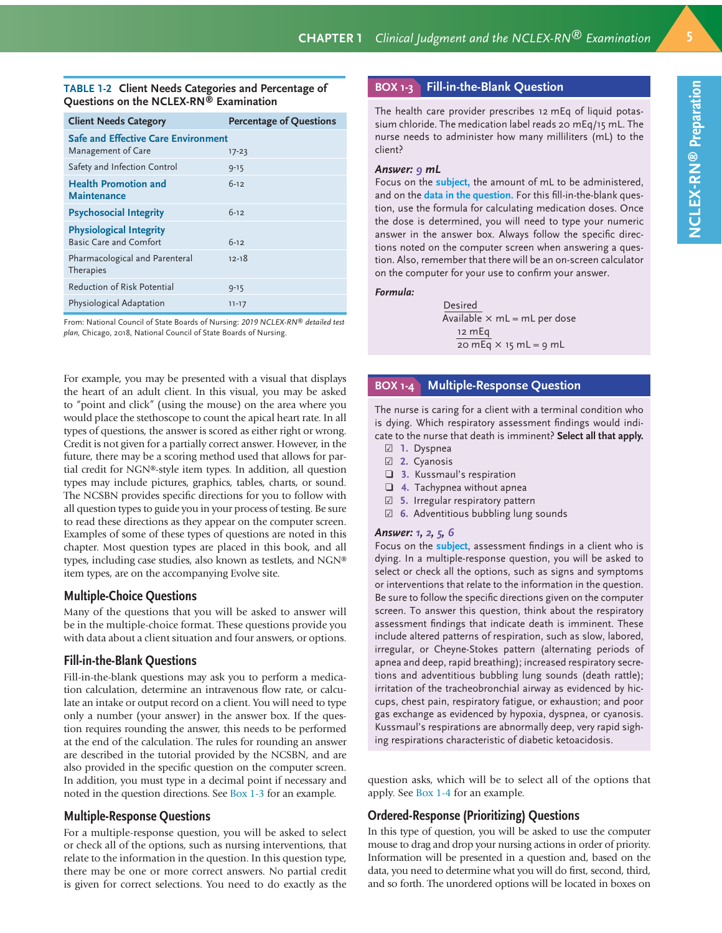#### **TABLE 1-2** Client Needs Categories and Percentage of BOX 1-3 Fill-in-the-Blank Question **Questions on the NCLEX- RN® Examination**

| <b>Client Needs Category</b>                      | <b>Percentage of Questions</b> |  |  |  |  |
|---------------------------------------------------|--------------------------------|--|--|--|--|
| Safe and Effective Care Environment               |                                |  |  |  |  |
| Management of Care                                | $17 - 23$                      |  |  |  |  |
| Safety and Infection Control                      | $9 - 15$                       |  |  |  |  |
| <b>Health Promotion and</b><br><b>Maintenance</b> | $6 - 12$                       |  |  |  |  |
| <b>Psychosocial Integrity</b>                     | $6 - 12$                       |  |  |  |  |
| <b>Physiological Integrity</b>                    |                                |  |  |  |  |
| <b>Basic Care and Comfort</b>                     | $6 - 12$                       |  |  |  |  |
| Pharmacological and Parenteral<br>Therapies       | $12 - 18$                      |  |  |  |  |
| Reduction of Risk Potential                       | $9 - 15$                       |  |  |  |  |
| Physiological Adaptation                          | $11 - 17$                      |  |  |  |  |

From: National Council of State Boards of Nursing: *2019 NCLEX- RN*® *detailed test plan,* Chicago, 2018, National Council of State Boards of Nursing.

For example, you may be presented with a visual that displays the heart of an adult client. In this visual, you may be asked to "point and click" (using the mouse) on the area where you would place the stethoscope to count the apical heart rate. In all types of questions, the answer is scored as either right or wrong. Credit is not given for a partially correct answer. However, in the future, there may be a scoring method used that allows for partial credit for NGN®-style item types. In addition, all question types may include pictures, graphics, tables, charts, or sound. The NCSBN provides specific directions for you to follow with all question types to guide you in your process of testing. Be sure to read these directions as they appear on the computer screen. Examples of some of these types of questions are noted in this chapter. Most question types are placed in this book, and all types, including case studies, also known as testlets, and NGN® item types, are on the accompanying Evolve site.

#### **Multiple- Choice Questions**

Many of the questions that you will be asked to answer will be in the multiple- choice format. These questions provide you with data about a client situation and four answers, or options.

#### **Fill-in-the-Blank Questions**

Fill-in-the-blank questions may ask you to perform a medication calculation, determine an intravenous flow rate, or calculate an intake or output record on a client. You will need to type only a number (your answer) in the answer box. If the question requires rounding the answer, this needs to be performed at the end of the calculation. The rules for rounding an answer are described in the tutorial provided by the NCSBN, and are also provided in the specific question on the computer screen. In addition, you must type in a decimal point if necessary and noted in the question directions. See Box 1-3 for an example.

#### **Multiple- Response Questions**

For a multiple-response question, you will be asked to select or check all of the options, such as nursing interventions, that relate to the information in the question. In this question type, there may be one or more correct answers. No partial credit is given for correct selections. You need to do exactly as the

The health care provider prescribes 12 mEq of liquid potassium chloride. The medication label reads 20 mEq/15 mL. The nurse needs to administer how many milliliters (mL) to the client?

#### *Answer: 9 mL*

Focus on the **subject,** the amount of mL to be administered, and on the data in the question. For this fill-in-the-blank question, use the formula for calculating medication doses. Once the dose is determined, you will need to type your numeric answer in the answer box. Always follow the specific directions noted on the computer screen when answering a question. Also, remember that there will be an on-screen calculator on the computer for your use to confirm your answer.

#### *Formula:*

Desired Available  $\times$  mL = mL per dose 12 mEq 20 mEq  $\times$  15 mL = 9 mL

#### **BOX 1-4** Multiple-Response Question

The nurse is caring for a client with a terminal condition who is dying. Which respiratory assessment findings would indicate to the nurse that death is imminent? **Select all that apply.**

- **1.** Dyspnea
- **2.** Cyanosis
- $\Box$  3. Kussmaul's respiration
- **4.** Tachypnea without apnea
- **5.** Irregular respiratory pattern
- **6.** Adventitious bubbling lung sounds

#### *Answer: 1, 2, 5, 6*

Focus on the **subject**, assessment findings in a client who is dying. In a multiple-response question, you will be asked to select or check all the options, such as signs and symptoms or interventions that relate to the information in the question. Be sure to follow the specific directions given on the computer screen. To answer this question, think about the respiratory assessment findings that indicate death is imminent. These include altered patterns of respiration, such as slow, labored, irregular, or Cheyne- Stokes pattern (alternating periods of apnea and deep, rapid breathing); increased respiratory secretions and adventitious bubbling lung sounds (death rattle); irritation of the tracheobronchial airway as evidenced by hiccups, chest pain, respiratory fatigue, or exhaustion; and poor gas exchange as evidenced by hypoxia, dyspnea, or cyanosis. Kussmaul's respirations are abnormally deep, very rapid sighing respirations characteristic of diabetic ketoacidosis.

question asks, which will be to select all of the options that apply. See Box 1-4 for an example.

#### **Ordered- Response (Prioritizing) Questions**

In this type of question, you will be asked to use the computer mouse to drag and drop your nursing actions in order of priority. Information will be presented in a question and, based on the data, you need to determine what you will do first, second, third, and so forth. The unordered options will be located in boxes on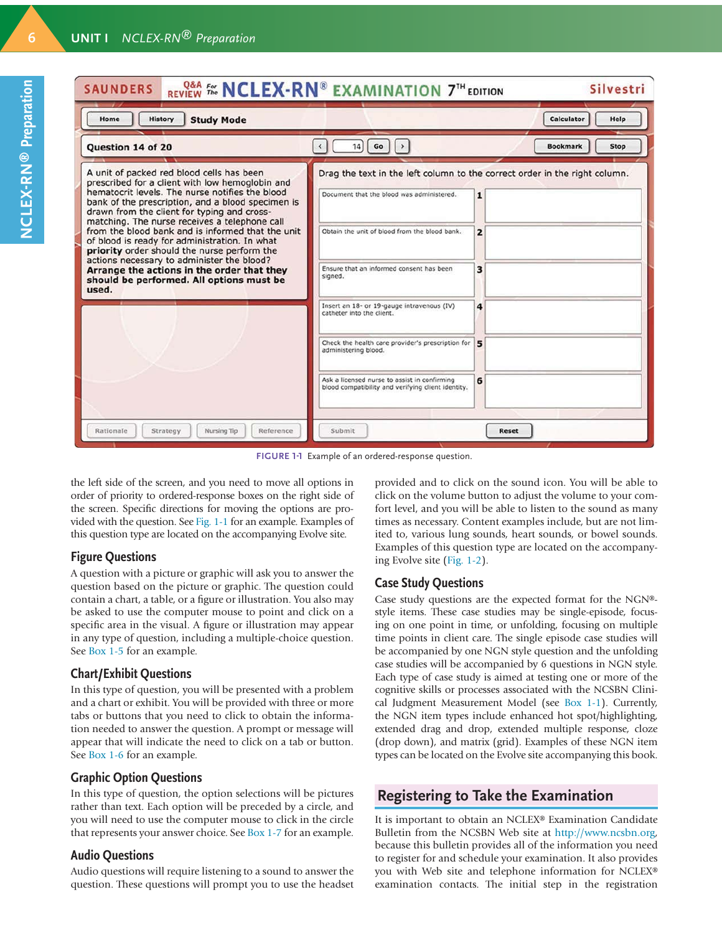|                                                                                                                                                                                                                                                     | <b>SAUNDERS</b>                                                                                                                                                                                                                                                                                                                            | REVIEW THE <b>NCLEX-RN</b> <sup>®</sup> EXAMINATION 7 <sup>TH</sup> EDITION                                             |                              | Silvestri                      |
|-----------------------------------------------------------------------------------------------------------------------------------------------------------------------------------------------------------------------------------------------------|--------------------------------------------------------------------------------------------------------------------------------------------------------------------------------------------------------------------------------------------------------------------------------------------------------------------------------------------|-------------------------------------------------------------------------------------------------------------------------|------------------------------|--------------------------------|
|                                                                                                                                                                                                                                                     | History<br><b>Study Mode</b><br>Home                                                                                                                                                                                                                                                                                                       |                                                                                                                         |                              | <b>Calculator</b><br>Help      |
|                                                                                                                                                                                                                                                     | <b>Question 14 of 20</b>                                                                                                                                                                                                                                                                                                                   | $\,$<br>14<br>Go                                                                                                        |                              | <b>Bookmark</b><br><b>Stop</b> |
| A unit of packed red blood cells has been<br>prescribed for a client with low hemoglobin and<br>hematocrit levels. The nurse notifies the blood<br>bank of the prescription, and a blood specimen is<br>drawn from the client for typing and cross- |                                                                                                                                                                                                                                                                                                                                            | Drag the text in the left column to the correct order in the right column.<br>Document that the blood was administered. | 1                            |                                |
|                                                                                                                                                                                                                                                     | matching. The nurse receives a telephone call<br>from the blood bank and is informed that the unit<br>of blood is ready for administration. In what<br>priority order should the nurse perform the<br>actions necessary to administer the blood?<br>Arrange the actions in the order that they<br>should be performed. All options must be | Obtain the unit of blood from the blood bank.<br>Ensure that an informed consent has been<br>signed.                    | $\overline{\mathbf{z}}$<br>3 |                                |
|                                                                                                                                                                                                                                                     | used.                                                                                                                                                                                                                                                                                                                                      | Insert an 18- or 19-gauge intravenous (IV)<br>catheter into the client.                                                 | 4                            |                                |
|                                                                                                                                                                                                                                                     |                                                                                                                                                                                                                                                                                                                                            | Check the health care provider's prescription for $5$<br>administering blood.                                           |                              |                                |
|                                                                                                                                                                                                                                                     |                                                                                                                                                                                                                                                                                                                                            | Ask a licensed nurse to assist in confirming<br>blood compatibility and verifying client identity.                      | 6                            |                                |
|                                                                                                                                                                                                                                                     | Reference<br>Rationale<br>Nursing Tip<br>Strategy                                                                                                                                                                                                                                                                                          | Submit                                                                                                                  | Reset                        |                                |

**FIGURE 1-1** Example of an ordered-response question.

the left side of the screen, and you need to move all options in order of priority to ordered- response boxes on the right side of the screen. Specific directions for moving the options are provided with the question. See Fig. 1-1 for an example. Examples of this question type are located on the accompanying Evolve site.

#### **Figure Questions**

A question with a picture or graphic will ask you to answer the question based on the picture or graphic. The question could contain a chart, a table, or a figure or illustration. You also may be asked to use the computer mouse to point and click on a specific area in the visual. A figure or illustration may appear in any type of question, including a multiple-choice question. See Box 1-5 for an example.

#### **Chart/Exhibit Questions**

In this type of question, you will be presented with a problem and a chart or exhibit. You will be provided with three or more tabs or buttons that you need to click to obtain the information needed to answer the question. A prompt or message will appear that will indicate the need to click on a tab or button. See Box 1-6 for an example.

#### **Graphic Option Questions**

In this type of question, the option selections will be pictures rather than text. Each option will be preceded by a circle, and you will need to use the computer mouse to click in the circle that represents your answer choice. See Box 1-7 for an example.

#### **Audio Questions**

Audio questions will require listening to a sound to answer the question. These questions will prompt you to use the headset provided and to click on the sound icon. You will be able to click on the volume button to adjust the volume to your comfort level, and you will be able to listen to the sound as many times as necessary. Content examples include, but are not limited to, various lung sounds, heart sounds, or bowel sounds. Examples of this question type are located on the accompanying Evolve site (Fig. 1-2).

#### **Case Study Questions**

Case study questions are the expected format for the NGN® style items. These case studies may be single-episode, focusing on one point in time, or unfolding, focusing on multiple time points in client care. The single episode case studies will be accompanied by one NGN style question and the unfolding case studies will be accompanied by 6 questions in NGN style. Each type of case study is aimed at testing one or more of the cognitive skills or processes associated with the NCSBN Clinical Judgment Measurement Model (see Box 1-1). Currently, the NGN item types include enhanced hot spot/highlighting, extended drag and drop, extended multiple response, cloze (drop down), and matrix (grid). Examples of these NGN item types can be located on the Evolve site accompanying this book.

#### **Registering to Take the Examination**

It is important to obtain an NCLEX® Examination Candidate Bulletin from the NCSBN Web site at http://www.ncsbn.org, because this bulletin provides all of the information you need to register for and schedule your examination. It also provides you with Web site and telephone information for NCLEX® examination contacts. The initial step in the registration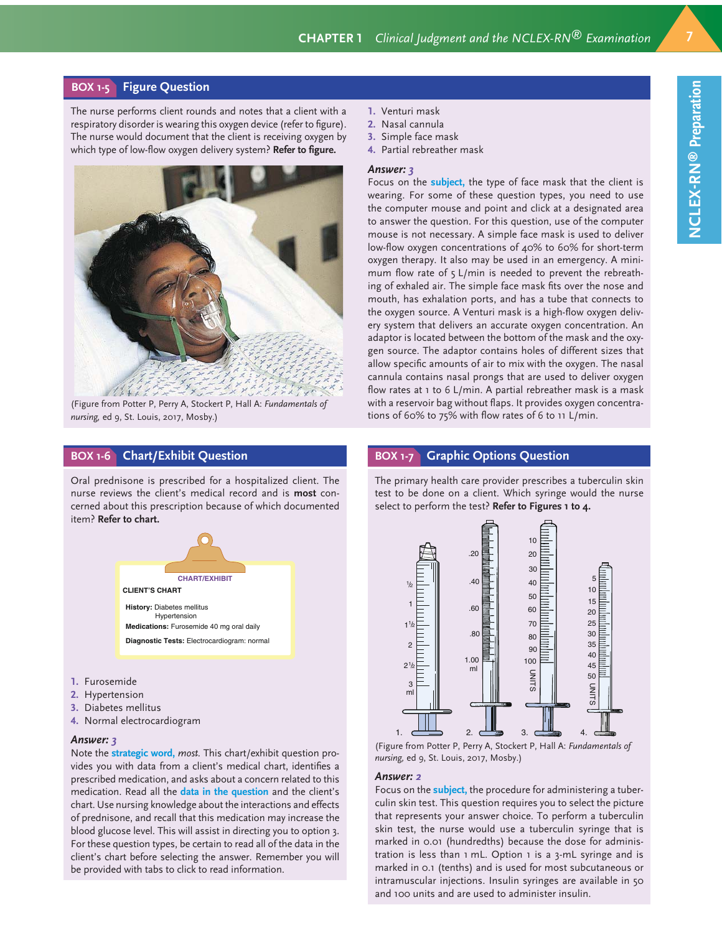#### **BOX 1-5 Figure Question**

The nurse performs client rounds and notes that a client with a respiratory disorder is wearing this oxygen device (refer to figure). The nurse would document that the client is receiving oxygen by which type of low-flow oxygen delivery system? Refer to figure.



(Figure from Potter P, Perry A, Stockert P, Hall A: *Fundamentals of nursing,* ed 9, St. Louis, 2017, Mosby.)

#### **BOX 1-6** Chart/Exhibit Question

Oral prednisone is prescribed for a hospitalized client. The nurse reviews the client's medical record and is **most** concerned about this prescription because of which documented item? **Refer to chart.**



- **1.** Furosemide
- **2.** Hypertension
- **3.** Diabetes mellitus
- **4.** Normal electrocardiogram

#### *Answer: 3*

Note the **strategic word,** *most.* This chart/exhibit question provides you with data from a client's medical chart, identifies a prescribed medication, and asks about a concern related to this medication. Read all the **data in the question** and the client's chart. Use nursing knowledge about the interactions and effects of prednisone, and recall that this medication may increase the blood glucose level. This will assist in directing you to option 3. For these question types, be certain to read all of the data in the client's chart before selecting the answer. Remember you will be provided with tabs to click to read information.

- **1.** Venturi mask
- **2.** Nasal cannula
- **3.** Simple face mask
- **4.** Partial rebreather mask

#### *Answer: 3*

Focus on the **subject,** the type of face mask that the client is wearing. For some of these question types, you need to use the computer mouse and point and click at a designated area to answer the question. For this question, use of the computer mouse is not necessary. A simple face mask is used to deliver low-flow oxygen concentrations of 40% to 60% for short-term oxygen therapy. It also may be used in an emergency. A minimum flow rate of 5 L/min is needed to prevent the rebreathing of exhaled air. The simple face mask fits over the nose and mouth, has exhalation ports, and has a tube that connects to the oxygen source. A Venturi mask is a high-flow oxygen delivery system that delivers an accurate oxygen concentration. An adaptor is located between the bottom of the mask and the oxygen source. The adaptor contains holes of different sizes that allow specific amounts of air to mix with the oxygen. The nasal cannula contains nasal prongs that are used to deliver oxygen flow rates at 1 to 6 L/min. A partial rebreather mask is a mask with a reservoir bag without flaps. It provides oxygen concentrations of 60% to 75% with flow rates of 6 to 11 L/min.

#### **BOX 1-7 Graphic Options Question**

The primary health care provider prescribes a tuberculin skin test to be done on a client. Which syringe would the nurse select to perform the test? **Refer to Figures 1 to 4.**



<sup>(</sup>Figure from Potter P, Perry A, Stockert P, Hall A: *Fundamentals of nursing,* ed 9, St. Louis, 2017, Mosby.)

#### *Answer: 2*

Focus on the **subject,** the procedure for administering a tuberculin skin test. This question requires you to select the picture that represents your answer choice. To perform a tuberculin skin test, the nurse would use a tuberculin syringe that is marked in 0.01 (hundredths) because the dose for administration is less than 1 mL. Option 1 is a 3-mL syringe and is marked in 0.1 (tenths) and is used for most subcutaneous or intramuscular injections. Insulin syringes are available in 50 and 100 units and are used to administer insulin.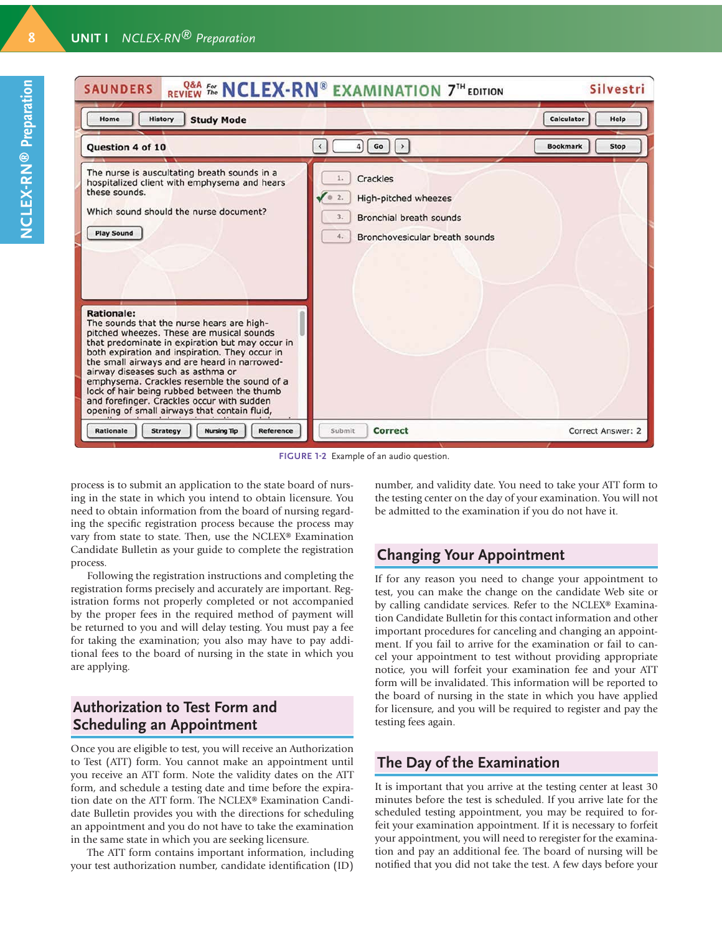| <b>SAUNDERS</b>                                                                                                                                                                                                                                                                                                                                                                                                                                                                                   | REVIEW FOR <b>NOLEX-RN</b> <sup>®</sup> EXAMINATION 7 <sup>TH</sup> EDITION                                                      | Silvestri                 |
|---------------------------------------------------------------------------------------------------------------------------------------------------------------------------------------------------------------------------------------------------------------------------------------------------------------------------------------------------------------------------------------------------------------------------------------------------------------------------------------------------|----------------------------------------------------------------------------------------------------------------------------------|---------------------------|
| History<br>Home<br><b>Study Mode</b>                                                                                                                                                                                                                                                                                                                                                                                                                                                              |                                                                                                                                  | <b>Calculator</b><br>Help |
| Question 4 of 10                                                                                                                                                                                                                                                                                                                                                                                                                                                                                  | $\rightarrow$<br>Go                                                                                                              | <b>Bookmark</b><br>Stop   |
| The nurse is auscultating breath sounds in a<br>hospitalized client with emphysema and hears<br>these sounds.<br>Which sound should the nurse document?<br><b>Play Sound</b>                                                                                                                                                                                                                                                                                                                      | Crackles<br>1.<br>$\sqrt{0}$ 2.<br>High-pitched wheezes<br>Bronchial breath sounds<br>3.<br>4.<br>Bronchovesicular breath sounds |                           |
| <b>Rationale:</b><br>The sounds that the nurse hears are high-<br>pitched wheezes. These are musical sounds<br>that predominate in expiration but may occur in<br>both expiration and inspiration. They occur in<br>the small airways and are heard in narrowed-<br>airway diseases such as asthma or<br>emphysema. Crackles resemble the sound of a<br>lock of hair being rubbed between the thumb<br>and forefinger. Crackles occur with sudden<br>opening of small airways that contain fluid, |                                                                                                                                  |                           |
| Rationale<br><b>Nursing Tip</b><br>Reference<br>Strategy                                                                                                                                                                                                                                                                                                                                                                                                                                          | Submit<br>Correct                                                                                                                | Correct Answer: 2         |

**FIGURE 1-2** Example of an audio question.

process is to submit an application to the state board of nursing in the state in which you intend to obtain licensure. You need to obtain information from the board of nursing regarding the specific registration process because the process may vary from state to state. Then, use the NCLEX® Examination Candidate Bulletin as your guide to complete the registration process.

Following the registration instructions and completing the registration forms precisely and accurately are important. Registration forms not properly completed or not accompanied by the proper fees in the required method of payment will be returned to you and will delay testing. You must pay a fee for taking the examination; you also may have to pay additional fees to the board of nursing in the state in which you are applying.

#### **Authorization to Test Form and Scheduling an Appointment**

Once you are eligible to test, you will receive an Authorization to Test (ATT) form. You cannot make an appointment until you receive an ATT form. Note the validity dates on the ATT form, and schedule a testing date and time before the expiration date on the ATT form. The NCLEX® Examination Candidate Bulletin provides you with the directions for scheduling an appointment and you do not have to take the examination in the same state in which you are seeking licensure.

The ATT form contains important information, including your test authorization number, candidate identification (ID)

number, and validity date. You need to take your ATT form to the testing center on the day of your examination. You will not be admitted to the examination if you do not have it.

#### **Changing Your Appointment**

If for any reason you need to change your appointment to test, you can make the change on the candidate Web site or by calling candidate services. Refer to the NCLEX® Examination Candidate Bulletin for this contact information and other important procedures for canceling and changing an appointment. If you fail to arrive for the examination or fail to cancel your appointment to test without providing appropriate notice, you will forfeit your examination fee and your ATT form will be invalidated. This information will be reported to the board of nursing in the state in which you have applied for licensure, and you will be required to register and pay the testing fees again.

#### **The Day of the Examination**

It is important that you arrive at the testing center at least 30 minutes before the test is scheduled. If you arrive late for the scheduled testing appointment, you may be required to forfeit your examination appointment. If it is necessary to forfeit your appointment, you will need to reregister for the examination and pay an additional fee. The board of nursing will be notified that you did not take the test. A few days before your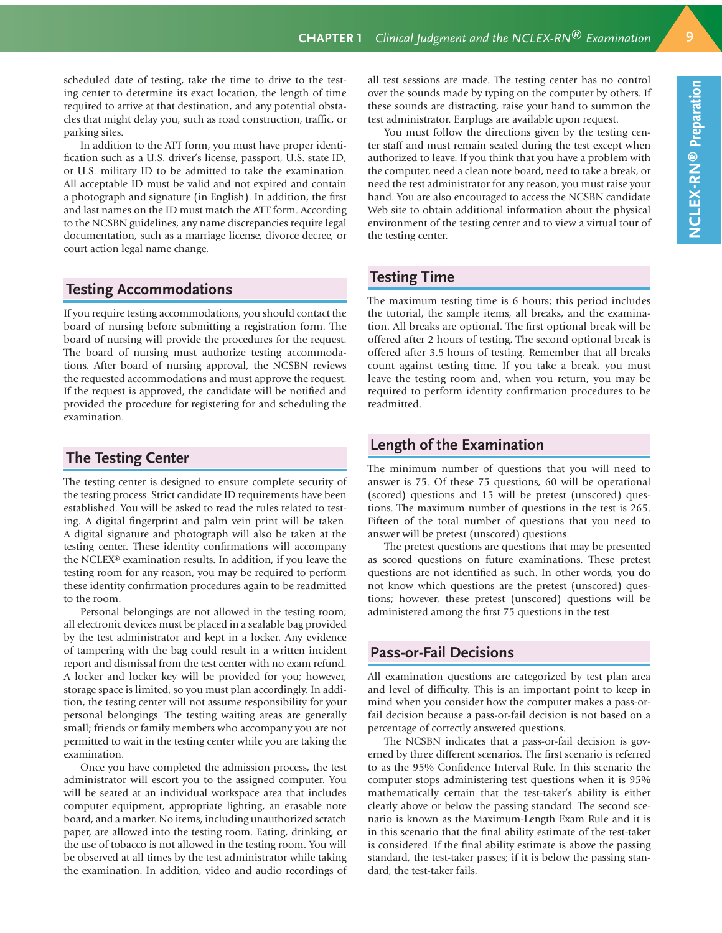**9**

scheduled date of testing, take the time to drive to the testing center to determine its exact location, the length of time required to arrive at that destination, and any potential obstacles that might delay you, such as road construction, traffic, or parking sites.

In addition to the ATT form, you must have proper identification such as a U.S. driver's license, passport, U.S. state ID, or U.S. military ID to be admitted to take the examination. All acceptable ID must be valid and not expired and contain a photograph and signature (in English). In addition, the first and last names on the ID must match the ATT form. According to the NCSBN guidelines, any name discrepancies require legal documentation, such as a marriage license, divorce decree, or court action legal name change.

#### **Testing Accommodations**

If you require testing accommodations, you should contact the board of nursing before submitting a registration form. The board of nursing will provide the procedures for the request. The board of nursing must authorize testing accommodations. After board of nursing approval, the NCSBN reviews the requested accommodations and must approve the request. If the request is approved, the candidate will be notified and provided the procedure for registering for and scheduling the examination.

#### **The Testing Center**

The testing center is designed to ensure complete security of the testing process. Strict candidate ID requirements have been established. You will be asked to read the rules related to testing. A digital fingerprint and palm vein print will be taken. A digital signature and photograph will also be taken at the testing center. These identity confirmations will accompany the NCLEX® examination results. In addition, if you leave the testing room for any reason, you may be required to perform these identity confirmation procedures again to be readmitted to the room.

Personal belongings are not allowed in the testing room; all electronic devices must be placed in a sealable bag provided by the test administrator and kept in a locker. Any evidence of tampering with the bag could result in a written incident report and dismissal from the test center with no exam refund. A locker and locker key will be provided for you; however, storage space is limited, so you must plan accordingly. In addition, the testing center will not assume responsibility for your personal belongings. The testing waiting areas are generally small; friends or family members who accompany you are not permitted to wait in the testing center while you are taking the examination.

Once you have completed the admission process, the test administrator will escort you to the assigned computer. You will be seated at an individual workspace area that includes computer equipment, appropriate lighting, an erasable note board, and a marker. No items, including unauthorized scratch paper, are allowed into the testing room. Eating, drinking, or the use of tobacco is not allowed in the testing room. You will be observed at all times by the test administrator while taking the examination. In addition, video and audio recordings of

all test sessions are made. The testing center has no control over the sounds made by typing on the computer by others. If these sounds are distracting, raise your hand to summon the test administrator. Earplugs are available upon request.

You must follow the directions given by the testing center staff and must remain seated during the test except when authorized to leave. If you think that you have a problem with the computer, need a clean note board, need to take a break, or need the test administrator for any reason, you must raise your hand. You are also encouraged to access the NCSBN candidate Web site to obtain additional information about the physical environment of the testing center and to view a virtual tour of the testing center.

#### **Testing Time**

The maximum testing time is 6 hours; this period includes the tutorial, the sample items, all breaks, and the examination. All breaks are optional. The first optional break will be offered after 2 hours of testing. The second optional break is offered after 3.5 hours of testing. Remember that all breaks count against testing time. If you take a break, you must leave the testing room and, when you return, you may be required to perform identity confirmation procedures to be readmitted.

#### **Length of the Examination**

The minimum number of questions that you will need to answer is 75. Of these 75 questions, 60 will be operational (scored) questions and 15 will be pretest (unscored) questions. The maximum number of questions in the test is 265. Fifteen of the total number of questions that you need to answer will be pretest (unscored) questions.

The pretest questions are questions that may be presented as scored questions on future examinations. These pretest questions are not identified as such. In other words, you do not know which questions are the pretest (unscored) questions; however, these pretest (unscored) questions will be administered among the first 75 questions in the test.

#### **Pass-or-Fail Decisions**

All examination questions are categorized by test plan area and level of difficulty. This is an important point to keep in mind when you consider how the computer makes a pass-orfail decision because a pass-or-fail decision is not based on a percentage of correctly answered questions.

The NCSBN indicates that a pass-or-fail decision is governed by three different scenarios. The first scenario is referred to as the 95% Confidence Interval Rule. In this scenario the computer stops administering test questions when it is 95% mathematically certain that the test-taker's ability is either clearly above or below the passing standard. The second scenario is known as the Maximum- Length Exam Rule and it is in this scenario that the final ability estimate of the test-taker is considered. If the final ability estimate is above the passing standard, the test-taker passes; if it is below the passing standard, the test-taker fails.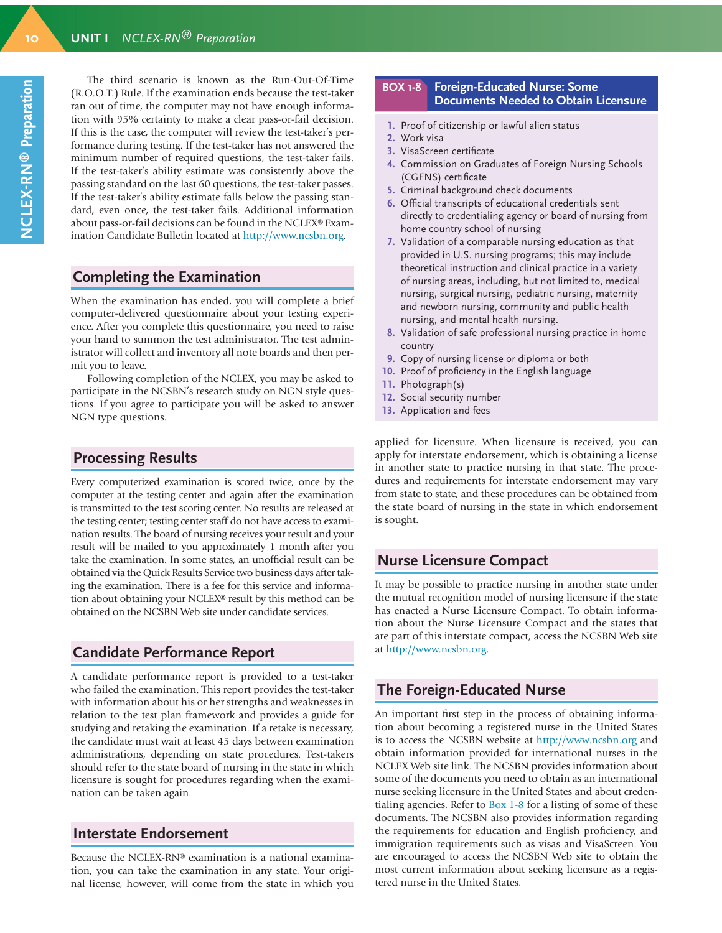The third scenario is known as the Run-Out-Of-Time (R.O.O.T.) Rule. If the examination ends because the test-taker ran out of time, the computer may not have enough information with 95% certainty to make a clear pass-or-fail decision. If this is the case, the computer will review the test-taker's performance during testing. If the test- taker has not answered the minimum number of required questions, the test-taker fails. If the test-taker's ability estimate was consistently above the passing standard on the last 60 questions, the test-taker passes. If the test-taker's ability estimate falls below the passing standard, even once, the test-taker fails. Additional information about pass-or-fail decisions can be found in the NCLEX® Examination Candidate Bulletin located at http://www.ncsbn.org.

#### **Completing the Examination**

When the examination has ended, you will complete a brief computer- delivered questionnaire about your testing experience. After you complete this questionnaire, you need to raise your hand to summon the test administrator. The test administrator will collect and inventory all note boards and then permit you to leave.

Following completion of the NCLEX, you may be asked to participate in the NCSBN's research study on NGN style questions. If you agree to participate you will be asked to answer NGN type questions.

#### **Processing Results**

Every computerized examination is scored twice, once by the computer at the testing center and again after the examination is transmitted to the test scoring center. No results are released at the testing center; testing center staff do not have access to examination results. The board of nursing receives your result and your result will be mailed to you approximately 1 month after you take the examination. In some states, an unofficial result can be obtained via the Quick Results Service two business days after taking the examination. There is a fee for this service and information about obtaining your NCLEX® result by this method can be obtained on the NCSBN Web site under candidate services.

#### **Candidate Performance Report**

A candidate performance report is provided to a test-taker who failed the examination. This report provides the test-taker with information about his or her strengths and weaknesses in relation to the test plan framework and provides a guide for studying and retaking the examination. If a retake is necessary, the candidate must wait at least 45 days between examination administrations, depending on state procedures. Test-takers should refer to the state board of nursing in the state in which licensure is sought for procedures regarding when the examination can be taken again.

#### **Interstate Endorsement**

Because the NCLEX-RN® examination is a national examination, you can take the examination in any state. Your original license, however, will come from the state in which you

#### **BOX 1-8** Foreign-Educated Nurse: Some **Documents Needed to Obtain Licensure**

- **1.** Proof of citizenship or lawful alien status
- **2.** Work visa
- **3.** VisaScreen certificate
- **4.** Commission on Graduates of Foreign Nursing Schools (CGFNS) certificate
- **5.** Criminal background check documents
- **6.** Official transcripts of educational credentials sent directly to credentialing agency or board of nursing from home country school of nursing
- **7.** Validation of a comparable nursing education as that provided in U.S. nursing programs; this may include theoretical instruction and clinical practice in a variety of nursing areas, including, but not limited to, medical nursing, surgical nursing, pediatric nursing, maternity and newborn nursing, community and public health nursing, and mental health nursing.
- **8.** Validation of safe professional nursing practice in home country
- **9.** Copy of nursing license or diploma or both
- **10.** Proof of proficiency in the English language
- **11.** Photograph(s)
- **12.** Social security number
- **13.** Application and fees

applied for licensure. When licensure is received, you can apply for interstate endorsement, which is obtaining a license in another state to practice nursing in that state. The procedures and requirements for interstate endorsement may vary from state to state, and these procedures can be obtained from the state board of nursing in the state in which endorsement is sought.

#### **Nurse Licensure Compact**

It may be possible to practice nursing in another state under the mutual recognition model of nursing licensure if the state has enacted a Nurse Licensure Compact. To obtain information about the Nurse Licensure Compact and the states that are part of this interstate compact, access the NCSBN Web site at http://www.ncsbn.org.

#### **The Foreign- Educated Nurse**

An important first step in the process of obtaining information about becoming a registered nurse in the United States is to access the NCSBN website at http://www.ncsbn.org and obtain information provided for international nurses in the NCLEX Web site link. The NCSBN provides information about some of the documents you need to obtain as an international nurse seeking licensure in the United States and about credentialing agencies. Refer to Box  $1-8$  for a listing of some of these documents. The NCSBN also provides information regarding the requirements for education and English proficiency, and immigration requirements such as visas and VisaScreen. You are encouraged to access the NCSBN Web site to obtain the most current information about seeking licensure as a registered nurse in the United States.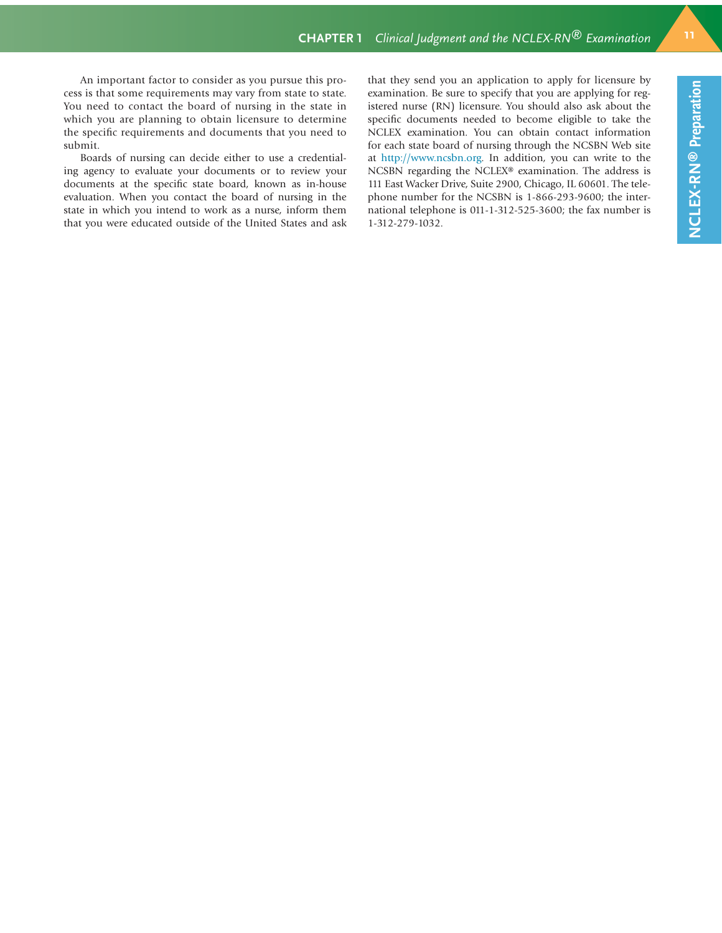Boards of nursing can decide either to use a credentialing agency to evaluate your documents or to review your documents at the specific state board, known as in-house evaluation. When you contact the board of nursing in the state in which you intend to work as a nurse, inform them that you were educated outside of the United States and ask that they send you an application to apply for licensure by examination. Be sure to specify that you are applying for registered nurse (RN) licensure. You should also ask about the specific documents needed to become eligible to take the NCLEX examination. You can obtain contact information for each state board of nursing through the NCSBN Web site at http://www.ncsbn.org. In addition, you can write to the NCSBN regarding the NCLEX® examination. The address is 111 East Wacker Drive, Suite 2900, Chicago, IL 60601. The telephone number for the NCSBN is 1-866-293-9600; the international telephone is 011-1-312-525-3600; the fax number is 1- 312- 279- 1032.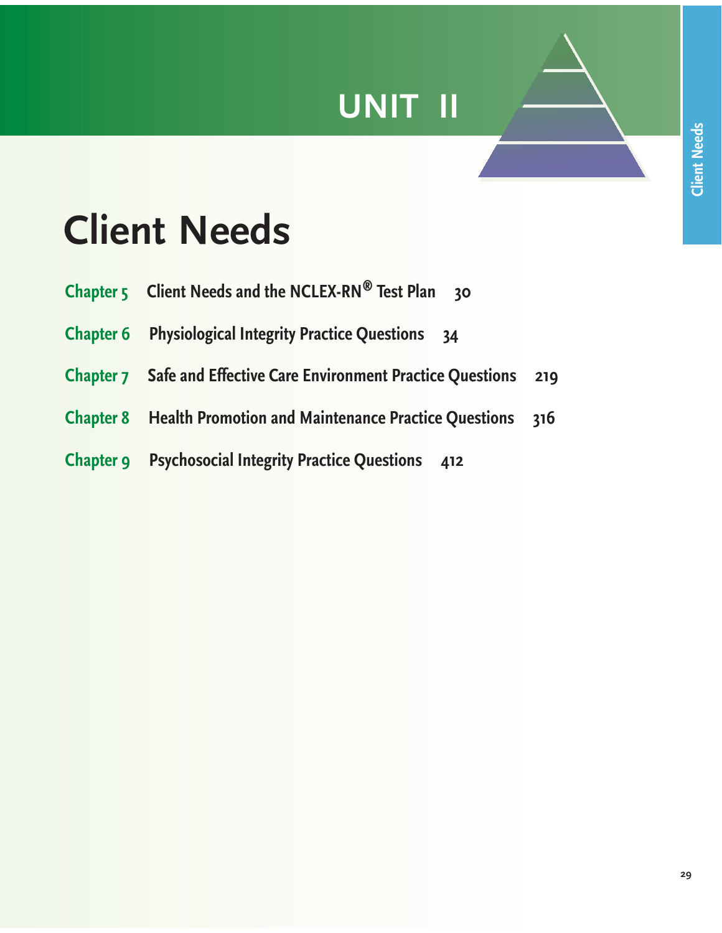### **UNIT II**

## **Client Needs**

- **Chapter 5 Client Needs and the NCLEX-RN® Test Plan 30**
- **Chapter 6 Physiological Integrity Practice Questions 34**
- **Chapter 7 Safe and Effective Care Environment Practice Questions 219**
- **Chapter 8 Health Promotion and Maintenance Practice Questions 316**
- **Chapter 9 Psychosocial Integrity Practice Questions 412**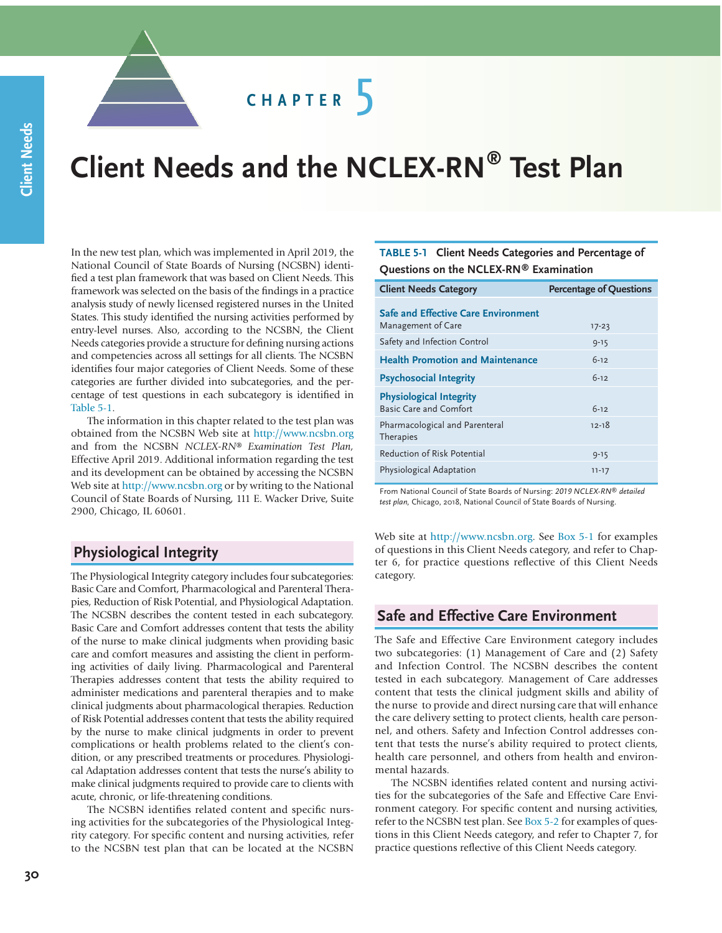### **CHAPTER** 5

### **Client Needs and the NCLEX-RN® Test Plan**

In the new test plan, which was implemented in April 2019, the National Council of State Boards of Nursing (NCSBN) identified a test plan framework that was based on Client Needs. This framework was selected on the basis of the findings in a practice analysis study of newly licensed registered nurses in the United States. This study identified the nursing activities performed by entry-level nurses. Also, according to the NCSBN, the Client Needs categories provide a structure for defining nursing actions and competencies across all settings for all clients. The NCSBN identifies four major categories of Client Needs. Some of these categories are further divided into subcategories, and the percentage of test questions in each subcategory is identified in Table 5-1.

The information in this chapter related to the test plan was obtained from the NCSBN Web site at http://www.ncsbn.org and from the NCSBN *NCLEX- RN® Examination Test Plan,*  Effective April 2019. Additional information regarding the test and its development can be obtained by accessing the NCSBN Web site at http://www.ncsbn.org or by writing to the National Council of State Boards of Nursing, 111 E. Wacker Drive, Suite 2900, Chicago, IL 60601.

#### **Physiological Integrity**

The Physiological Integrity category includes four subcategories: Basic Care and Comfort, Pharmacological and Parenteral Therapies, Reduction of Risk Potential, and Physiological Adaptation. The NCSBN describes the content tested in each subcategory. Basic Care and Comfort addresses content that tests the ability of the nurse to make clinical judgments when providing basic care and comfort measures and assisting the client in performing activities of daily living. Pharmacological and Parenteral Therapies addresses content that tests the ability required to administer medications and parenteral therapies and to make clinical judgments about pharmacological therapies. Reduction of Risk Potential addresses content that tests the ability required by the nurse to make clinical judgments in order to prevent complications or health problems related to the client's condition, or any prescribed treatments or procedures. Physiological Adaptation addresses content that tests the nurse's ability to make clinical judgments required to provide care to clients with acute, chronic, or life-threatening conditions.

The NCSBN identifies related content and specific nursing activities for the subcategories of the Physiological Integrity category. For specific content and nursing activities, refer to the NCSBN test plan that can be located at the NCSBN

**TABLE 5- 1 Client Needs Categories and Percentage of Questions on the NCLEX-RN® Examination**

| <b>Client Needs Category</b>                                     | <b>Percentage of Questions</b> |
|------------------------------------------------------------------|--------------------------------|
| <b>Safe and Effective Care Environment</b><br>Management of Care | $17 - 23$                      |
| Safety and Infection Control                                     | $9 - 15$                       |
| <b>Health Promotion and Maintenance</b>                          | $6 - 12$                       |
| <b>Psychosocial Integrity</b>                                    | $6 - 12$                       |
| <b>Physiological Integrity</b><br><b>Basic Care and Comfort</b>  | $6 - 12$                       |
| Pharmacological and Parenteral<br>Therapies                      | $12 - 18$                      |
| Reduction of Risk Potential                                      | $9 - 15$                       |
| Physiological Adaptation                                         | $11 - 17$                      |

From National Council of State Boards of Nursing: *2019 NCLEX- RN*® *detailed test plan,* Chicago, 2018, National Council of State Boards of Nursing.

Web site at http://www.ncsbn.org. See Box 5-1 for examples of questions in this Client Needs category, and refer to Chapter 6, for practice questions reflective of this Client Needs category.

#### **Safe and Effective Care Environment**

The Safe and Effective Care Environment category includes two subcategories: (1) Management of Care and (2) Safety and Infection Control. The NCSBN describes the content tested in each subcategory. Management of Care addresses content that tests the clinical judgment skills and ability of the nurse to provide and direct nursing care that will enhance the care delivery setting to protect clients, health care personnel, and others. Safety and Infection Control addresses content that tests the nurse's ability required to protect clients, health care personnel, and others from health and environmental hazards.

The NCSBN identifies related content and nursing activities for the subcategories of the Safe and Effective Care Environment category. For specific content and nursing activities, refer to the NCSBN test plan. See Box 5-2 for examples of questions in this Client Needs category, and refer to Chapter 7, for practice questions reflective of this Client Needs category.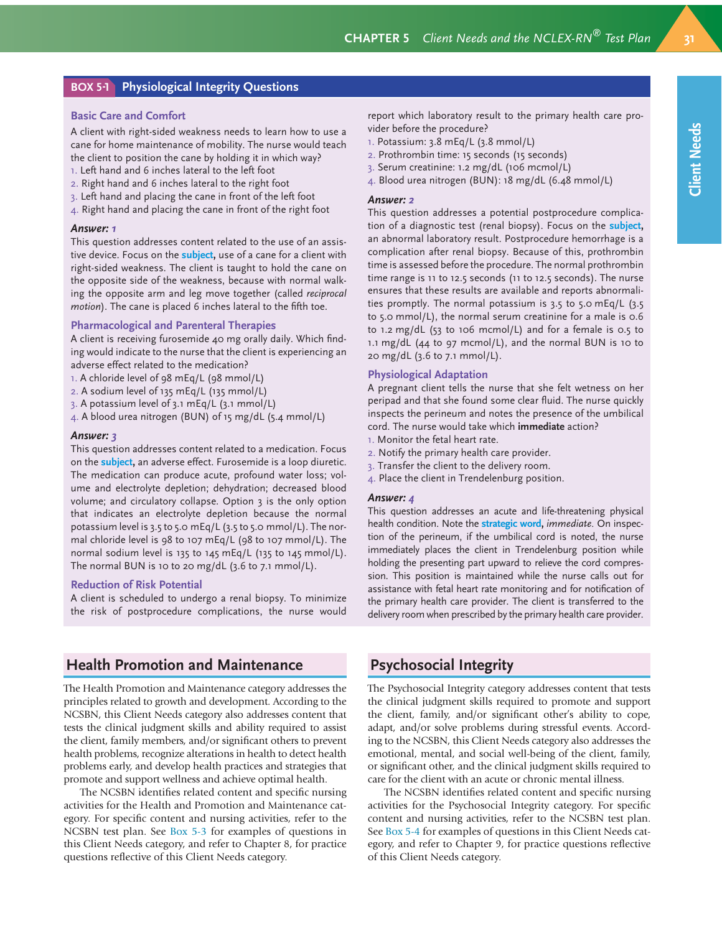#### **BOX 5-1** Physiological Integrity Questions

#### **Basic Care and Comfort**

A client with right- sided weakness needs to learn how to use a cane for home maintenance of mobility. The nurse would teach the client to position the cane by holding it in which way?

- 1. Left hand and 6 inches lateral to the left foot
- 2. Right hand and 6 inches lateral to the right foot
- 3. Left hand and placing the cane in front of the left foot
- 4. Right hand and placing the cane in front of the right foot

#### *Answer: 1*

This question addresses content related to the use of an assistive device. Focus on the **subject,** use of a cane for a client with right- sided weakness. The client is taught to hold the cane on the opposite side of the weakness, because with normal walking the opposite arm and leg move together (called *reciprocal motion*). The cane is placed 6 inches lateral to the fifth toe.

#### **Pharmacological and Parenteral Therapies**

A client is receiving furosemide 40 mg orally daily. Which finding would indicate to the nurse that the client is experiencing an adverse effect related to the medication?

- 1. A chloride level of 98 mEq/L (98 mmol/L)
- 2. A sodium level of 135 mEq/L (135 mmol/L)
- 3. A potassium level of 3.1 mEq/L (3.1 mmol/L)
- 4. A blood urea nitrogen (BUN) of 15 mg/dL (5.4 mmol/L)

#### *Answer: 3*

This question addresses content related to a medication. Focus on the **subject,** an adverse effect. Furosemide is a loop diuretic. The medication can produce acute, profound water loss; volume and electrolyte depletion; dehydration; decreased blood volume; and circulatory collapse. Option 3 is the only option that indicates an electrolyte depletion because the normal potassium level is 3.5 to 5.0 mEq/L (3.5 to 5.0 mmol/L). The normal chloride level is 98 to 107 mEq/L (98 to 107 mmol/L). The normal sodium level is 135 to 145 mEq/L (135 to 145 mmol/L). The normal BUN is 10 to 20 mg/dL (3.6 to 7.1 mmol/L).

#### **Reduction of Risk Potential**

A client is scheduled to undergo a renal biopsy. To minimize the risk of postprocedure complications, the nurse would

#### **Health Promotion and Maintenance**

The Health Promotion and Maintenance category addresses the principles related to growth and development. According to the NCSBN, this Client Needs category also addresses content that tests the clinical judgment skills and ability required to assist the client, family members, and/or significant others to prevent health problems, recognize alterations in health to detect health problems early, and develop health practices and strategies that promote and support wellness and achieve optimal health.

The NCSBN identifies related content and specific nursing activities for the Health and Promotion and Maintenance category. For specific content and nursing activities, refer to the NCSBN test plan. See Box 5-3 for examples of questions in this Client Needs category, and refer to Chapter 8, for practice questions reflective of this Client Needs category.

report which laboratory result to the primary health care provider before the procedure?

- 1. Potassium: 3.8 mEq/L (3.8 mmol/L)
- 2. Prothrombin time: 15 seconds (15 seconds)
- 3. Serum creatinine: 1.2 mg/dL (106 mcmol/L)
- 4. Blood urea nitrogen (BUN): 18 mg/dL (6.48 mmol/L)

#### *Answer: 2*

This question addresses a potential postprocedure complication of a diagnostic test (renal biopsy). Focus on the **subject,** an abnormal laboratory result. Postprocedure hemorrhage is a complication after renal biopsy. Because of this, prothrombin time is assessed before the procedure. The normal prothrombin time range is 11 to 12.5 seconds (11 to 12.5 seconds). The nurse ensures that these results are available and reports abnormalities promptly. The normal potassium is 3.5 to 5.0 mEq/L (3.5 to 5.0 mmol/L), the normal serum creatinine for a male is 0.6 to 1.2 mg/dL (53 to 106 mcmol/L) and for a female is 0.5 to 1.1 mg/dL (44 to 97 mcmol/L), and the normal BUN is 10 to 20 mg/dL (3.6 to 7.1 mmol/L).

#### **Physiological Adaptation**

A pregnant client tells the nurse that she felt wetness on her peripad and that she found some clear fluid. The nurse quickly inspects the perineum and notes the presence of the umbilical cord. The nurse would take which **immediate** action?

- 1. Monitor the fetal heart rate.
- 2. Notify the primary health care provider.
- 3. Transfer the client to the delivery room.
- 4. Place the client in Trendelenburg position.

#### *Answer: 4*

This question addresses an acute and life-threatening physical health condition. Note the **strategic word,** *immediate.* On inspection of the perineum, if the umbilical cord is noted, the nurse immediately places the client in Trendelenburg position while holding the presenting part upward to relieve the cord compression. This position is maintained while the nurse calls out for assistance with fetal heart rate monitoring and for notification of the primary health care provider. The client is transferred to the delivery room when prescribed by the primary health care provider.

#### **Psychosocial Integrity**

The Psychosocial Integrity category addresses content that tests the clinical judgment skills required to promote and support the client, family, and/or significant other's ability to cope, adapt, and/or solve problems during stressful events. According to the NCSBN, this Client Needs category also addresses the emotional, mental, and social well-being of the client, family, or significant other, and the clinical judgment skills required to care for the client with an acute or chronic mental illness.

The NCSBN identifies related content and specific nursing activities for the Psychosocial Integrity category. For specific content and nursing activities, refer to the NCSBN test plan. See Box 5-4 for examples of questions in this Client Needs category, and refer to Chapter 9, for practice questions reflective of this Client Needs category.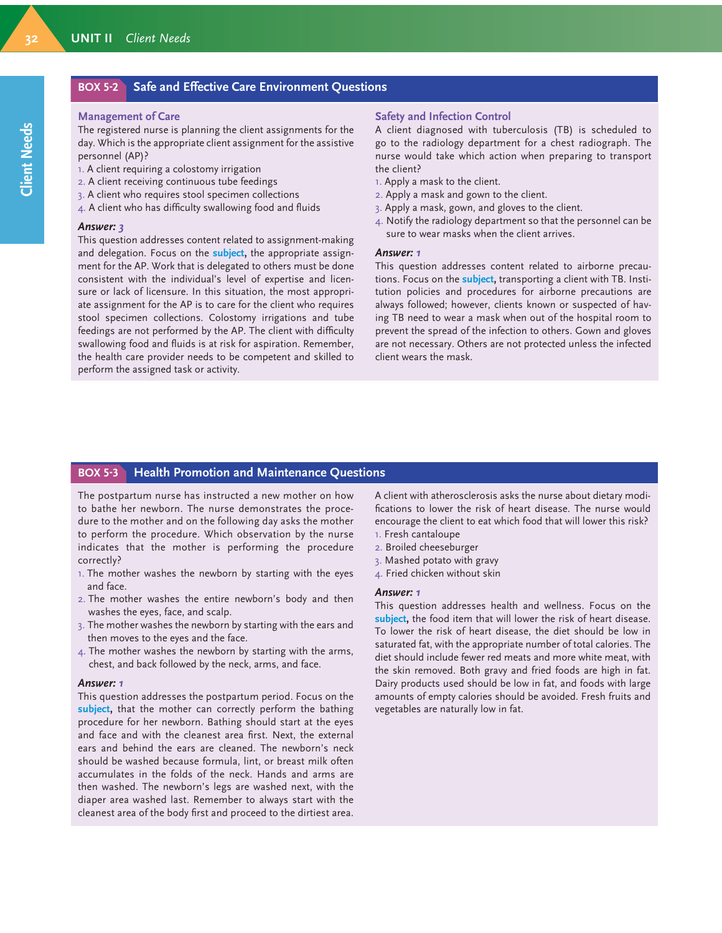#### **BOX 5-2** Safe and Effective Care Environment Questions

#### **Management of Care**

The registered nurse is planning the client assignments for the day. Which is the appropriate client assignment for the assistive personnel (AP)?

- 1. A client requiring a colostomy irrigation
- 2. A client receiving continuous tube feedings
- 3. A client who requires stool specimen collections
- 4. A client who has difficulty swallowing food and fluids

#### *Answer: 3*

This question addresses content related to assignment-making and delegation. Focus on the **subject,** the appropriate assignment for the AP. Work that is delegated to others must be done consistent with the individual's level of expertise and licensure or lack of licensure. In this situation, the most appropriate assignment for the AP is to care for the client who requires stool specimen collections. Colostomy irrigations and tube feedings are not performed by the AP. The client with difficulty swallowing food and fluids is at risk for aspiration. Remember, the health care provider needs to be competent and skilled to perform the assigned task or activity.

#### **Safety and Infection Control**

A client diagnosed with tuberculosis (TB) is scheduled to go to the radiology department for a chest radiograph. The nurse would take which action when preparing to transport the client?

- 1. Apply a mask to the client.
- 2. Apply a mask and gown to the client.
- 3. Apply a mask, gown, and gloves to the client.
- 4. Notify the radiology department so that the personnel can be sure to wear masks when the client arrives.

#### *Answer: 1*

This question addresses content related to airborne precautions. Focus on the **subject,** transporting a client with TB. Institution policies and procedures for airborne precautions are always followed; however, clients known or suspected of having TB need to wear a mask when out of the hospital room to prevent the spread of the infection to others. Gown and gloves are not necessary. Others are not protected unless the infected client wears the mask.

#### **BOX 5-3** Health Promotion and Maintenance Questions

The postpartum nurse has instructed a new mother on how to bathe her newborn. The nurse demonstrates the procedure to the mother and on the following day asks the mother to perform the procedure. Which observation by the nurse indicates that the mother is performing the procedure correctly?

- 1. The mother washes the newborn by starting with the eyes and face.
- 2. The mother washes the entire newborn's body and then washes the eyes, face, and scalp.
- 3. The mother washes the newborn by starting with the ears and then moves to the eyes and the face.
- 4. The mother washes the newborn by starting with the arms, chest, and back followed by the neck, arms, and face.

#### *Answer: 1*

This question addresses the postpartum period. Focus on the **subject,** that the mother can correctly perform the bathing procedure for her newborn. Bathing should start at the eyes and face and with the cleanest area first. Next, the external ears and behind the ears are cleaned. The newborn's neck should be washed because formula, lint, or breast milk often accumulates in the folds of the neck. Hands and arms are then washed. The newborn's legs are washed next, with the diaper area washed last. Remember to always start with the cleanest area of the body first and proceed to the dirtiest area. A client with atherosclerosis asks the nurse about dietary modifications to lower the risk of heart disease. The nurse would encourage the client to eat which food that will lower this risk?

- 1. Fresh cantaloupe
- 2. Broiled cheeseburger
- 3. Mashed potato with gravy
- 4. Fried chicken without skin

#### *Answer: 1*

This question addresses health and wellness. Focus on the **subject,** the food item that will lower the risk of heart disease. To lower the risk of heart disease, the diet should be low in saturated fat, with the appropriate number of total calories. The diet should include fewer red meats and more white meat, with the skin removed. Both gravy and fried foods are high in fat. Dairy products used should be low in fat, and foods with large amounts of empty calories should be avoided. Fresh fruits and vegetables are naturally low in fat.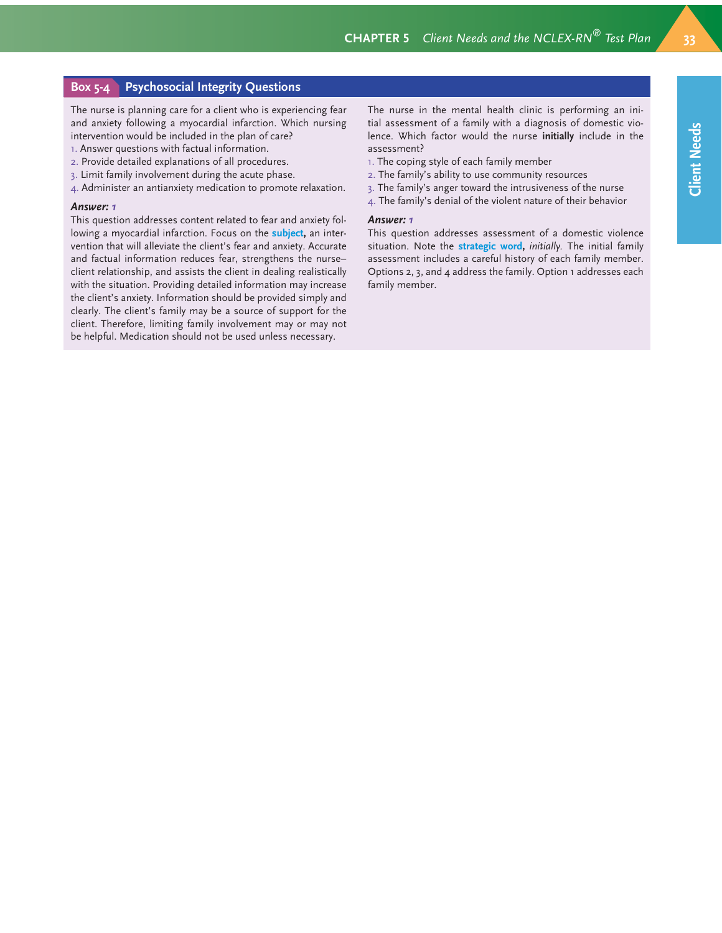#### **Box 5-4** Psychosocial Integrity Questions

The nurse is planning care for a client who is experiencing fear and anxiety following a myocardial infarction. Which nursing intervention would be included in the plan of care?

- 1. Answer questions with factual information.
- 2. Provide detailed explanations of all procedures.
- 3. Limit family involvement during the acute phase.
- 4. Administer an antianxiety medication to promote relaxation.

#### *Answer: 1*

This question addresses content related to fear and anxiety following a myocardial infarction. Focus on the **subject,** an intervention that will alleviate the client's fear and anxiety. Accurate and factual information reduces fear, strengthens the nurse– client relationship, and assists the client in dealing realistically with the situation. Providing detailed information may increase the client's anxiety. Information should be provided simply and clearly. The client's family may be a source of support for the client. Therefore, limiting family involvement may or may not be helpful. Medication should not be used unless necessary.

The nurse in the mental health clinic is performing an initial assessment of a family with a diagnosis of domestic violence. Which factor would the nurse **initially** include in the assessment?

- 1. The coping style of each family member
- 2. The family's ability to use community resources
- 3. The family's anger toward the intrusiveness of the nurse
- 4. The family's denial of the violent nature of their behavior

#### *Answer: 1*

This question addresses assessment of a domestic violence situation. Note the **strategic word,** *initially.* The initial family assessment includes a careful history of each family member. Options 2, 3, and 4 address the family. Option 1 addresses each family member.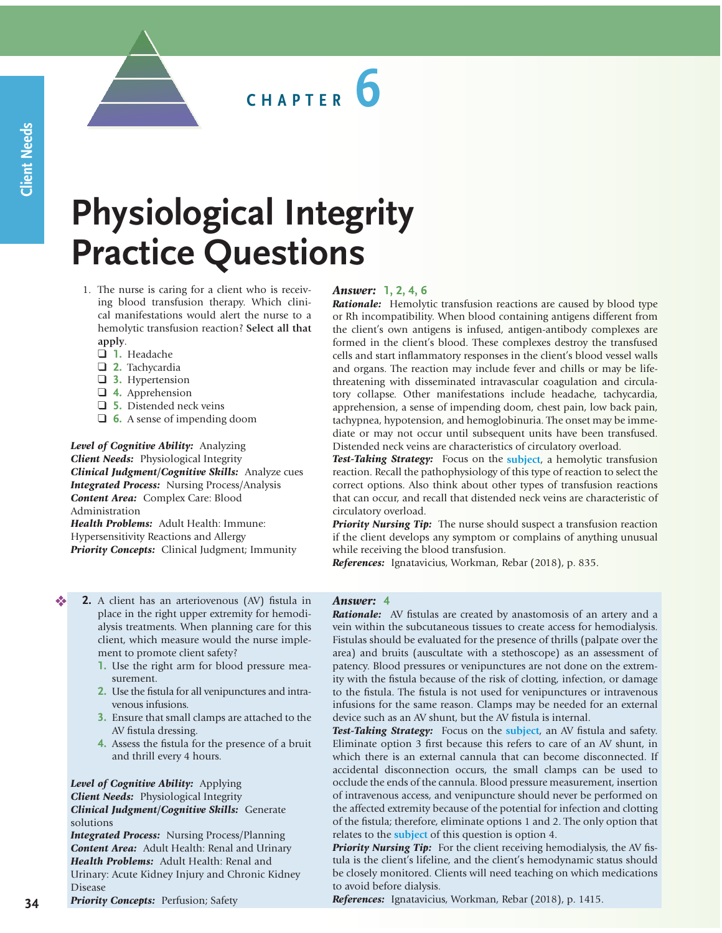**Physiological Integrity** 

**Chapter CHAPTER 6**<sup>5</sup>

- **Produce Contract Contract Contract Contract Contract Contract Contract Contract Contract Contract Contract Contract Contract Contract Contract Contract Contract Contract Contract Contract Contract Contract Contract Contra** ing blood transfusion therapy. Which clinical manifestations would alert the nurse to a hemolytic transfusion reaction? **Select all that apply**.
	- **1.** Headache
	- **2.** Tachycardia
	- **3.** Hypertension
	- **4.** Apprehension
	- **5.** Distended neck veins
	- **6.** A sense of impending doom

*Level of Cognitive Ability:* Analyzing *Client Needs:* Physiological Integrity *Clinical Judgment/Cognitive Skills:* Analyze cues *Integrated Process:* Nursing Process/Analysis *Content Area:* Complex Care: Blood Administration

*Health Problems:* Adult Health: Immune: Hypersensitivity Reactions and Allergy **Priority Concepts:** Clinical Judgment; Immunity

#### *Answer:* **1, 2, 4, 6**

**Rationale:** Hemolytic transfusion reactions are caused by blood type or Rh incompatibility. When blood containing antigens different from the client's own antigens is infused, antigen-antibody complexes are formed in the client's blood. These complexes destroy the transfused cells and start inflammatory responses in the client's blood vessel walls and organs. The reaction may include fever and chills or may be lifethreatening with disseminated intravascular coagulation and circulatory collapse. Other manifestations include headache, tachycardia, apprehension, a sense of impending doom, chest pain, low back pain, tachypnea, hypotension, and hemoglobinuria. The onset may be immediate or may not occur until subsequent units have been transfused. Distended neck veins are characteristics of circulatory overload.

*Test-Taking Strategy:* Focus on the **subject**, a hemolytic transfusion reaction. Recall the pathophysiology of this type of reaction to select the correct options. Also think about other types of transfusion reactions that can occur, and recall that distended neck veins are characteristic of circulatory overload.

**Priority Nursing Tip:** The nurse should suspect a transfusion reaction if the client develops any symptom or complains of anything unusual while receiving the blood transfusion.

*References:* Ignatavicius, Workman, Rebar (2018), p. 835.

- **2.** A client has an arteriovenous (AV) fistula in place in the right upper extremity for hemodialysis treatments. When planning care for this client, which measure would the nurse implement to promote client safety?
	- **1.** Use the right arm for blood pressure measurement.
	- **2.** Use the fistula for all venipunctures and intravenous infusions.
	- **3.** Ensure that small clamps are attached to the AV fistula dressing.
	- **4.** Assess the fistula for the presence of a bruit and thrill every 4 hours.

*Level of Cognitive Ability:* Applying *Client Needs:* Physiological Integrity *Clinical Judgment/Cognitive Skills:* Generate solutions

*Integrated Process:* Nursing Process/Planning *Content Area:* Adult Health: Renal and Urinary *Health Problems:* Adult Health: Renal and Urinary: Acute Kidney Injury and Chronic Kidney Disease

#### *Answer:* **4**

*Rationale:* AV fistulas are created by anastomosis of an artery and a vein within the subcutaneous tissues to create access for hemodialysis. Fistulas should be evaluated for the presence of thrills (palpate over the area) and bruits (auscultate with a stethoscope) as an assessment of patency. Blood pressures or venipunctures are not done on the extremity with the fistula because of the risk of clotting, infection, or damage to the fistula. The fistula is not used for venipunctures or intravenous infusions for the same reason. Clamps may be needed for an external device such as an AV shunt, but the AV fistula is internal.

**Test-Taking Strategy:** Focus on the **subject**, an AV fistula and safety. Eliminate option 3 first because this refers to care of an AV shunt, in which there is an external cannula that can become disconnected. If accidental disconnection occurs, the small clamps can be used to occlude the ends of the cannula. Blood pressure measurement, insertion of intravenous access, and venipuncture should never be performed on the affected extremity because of the potential for infection and clotting of the fistula; therefore, eliminate options 1 and 2. The only option that relates to the **subject** of this question is option 4.

**Priority Nursing Tip:** For the client receiving hemodialysis, the AV fistula is the client's lifeline, and the client's hemodynamic status should be closely monitored. Clients will need teaching on which medications to avoid before dialysis.

**Priority Concepts:** Perfusion; Safety

*References:* Ignatavicius, Workman, Rebar (2018), p. 1415.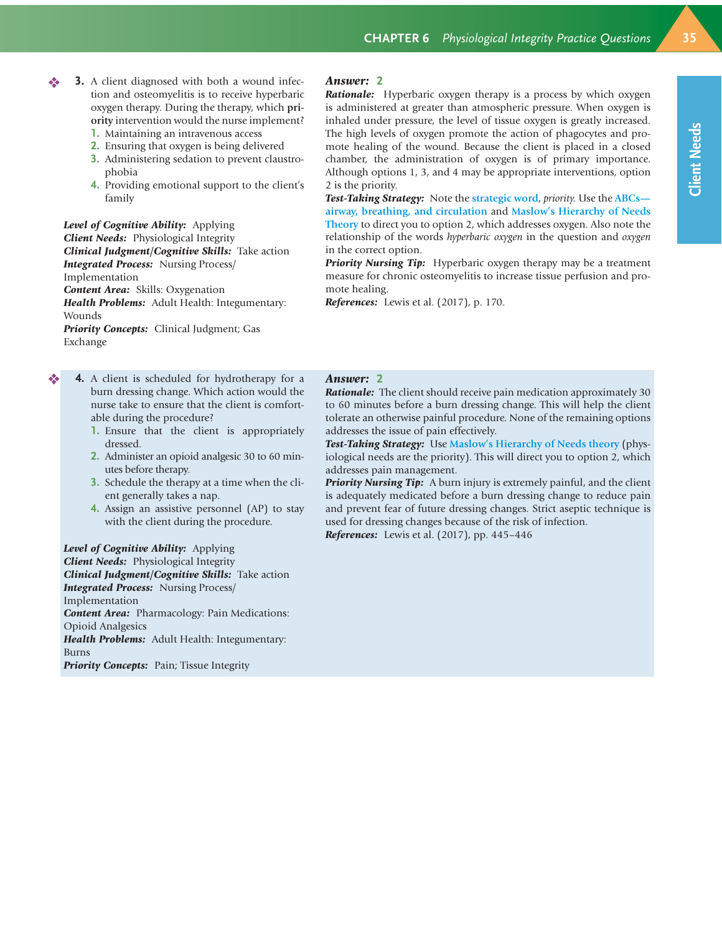- **1.** Maintaining an intravenous access
- **2.** Ensuring that oxygen is being delivered
- **3.** Administering sedation to prevent claustrophobia
- **4.** Providing emotional support to the client's family

*Level of Cognitive Ability:* Applying *Client Needs:* Physiological Integrity *Clinical Judgment/Cognitive Skills:* Take action *Integrated Process:* Nursing Process/ Implementation *Content Area:* Skills: Oxygenation *Health Problems:* Adult Health: Integumentary: Wounds **Priority Concepts:** Clinical Judgment; Gas Exchange

- ❖ **4.** A client is scheduled for hydrotherapy for a burn dressing change. Which action would the nurse take to ensure that the client is comfortable during the procedure?
	- **1.** Ensure that the client is appropriately dressed.
	- **2.** Administer an opioid analgesic 30 to 60 minutes before therapy.
	- **3.** Schedule the therapy at a time when the client generally takes a nap.
	- **4.** Assign an assistive personnel (AP) to stay with the client during the procedure.

*Level of Cognitive Ability:* Applying *Client Needs:* Physiological Integrity *Clinical Judgment/Cognitive Skills:* Take action *Integrated Process:* Nursing Process/ Implementation *Content Area:* Pharmacology: Pain Medications: Opioid Analgesics *Health Problems:* Adult Health: Integumentary: Burns **Priority Concepts:** Pain; Tissue Integrity

*Rationale:* Hyperbaric oxygen therapy is a process by which oxygen is administered at greater than atmospheric pressure. When oxygen is inhaled under pressure, the level of tissue oxygen is greatly increased. The high levels of oxygen promote the action of phagocytes and promote healing of the wound. Because the client is placed in a closed chamber, the administration of oxygen is of primary importance. Although options 1, 3, and 4 may be appropriate interventions, option 2 is the priority.

*Test-Taking Strategy:* Note the **strategic word**, *priority.* Use the **ABCs airway, breathing, and circulation** and **Maslow's Hierarchy of Needs Theory** to direct you to option 2, which addresses oxygen. Also note the relationship of the words *hyperbaric oxygen* in the question and *oxygen* in the correct option.

*Priority Nursing Tip:* Hyperbaric oxygen therapy may be a treatment measure for chronic osteomyelitis to increase tissue perfusion and promote healing.

*References:* Lewis et al. (2017), p. 170.

#### *Answer:* **2**

*Rationale:* The client should receive pain medication approximately 30 to 60 minutes before a burn dressing change. This will help the client tolerate an otherwise painful procedure. None of the remaining options addresses the issue of pain effectively.

*Test-Taking Strategy:* Use **Maslow's Hierarchy of Needs theory** (physiological needs are the priority). This will direct you to option 2, which addresses pain management.

*Priority Nursing Tip:* A burn injury is extremely painful, and the client is adequately medicated before a burn dressing change to reduce pain and prevent fear of future dressing changes. Strict aseptic technique is used for dressing changes because of the risk of infection. **References:** Lewis et al. (2017), pp. 445-446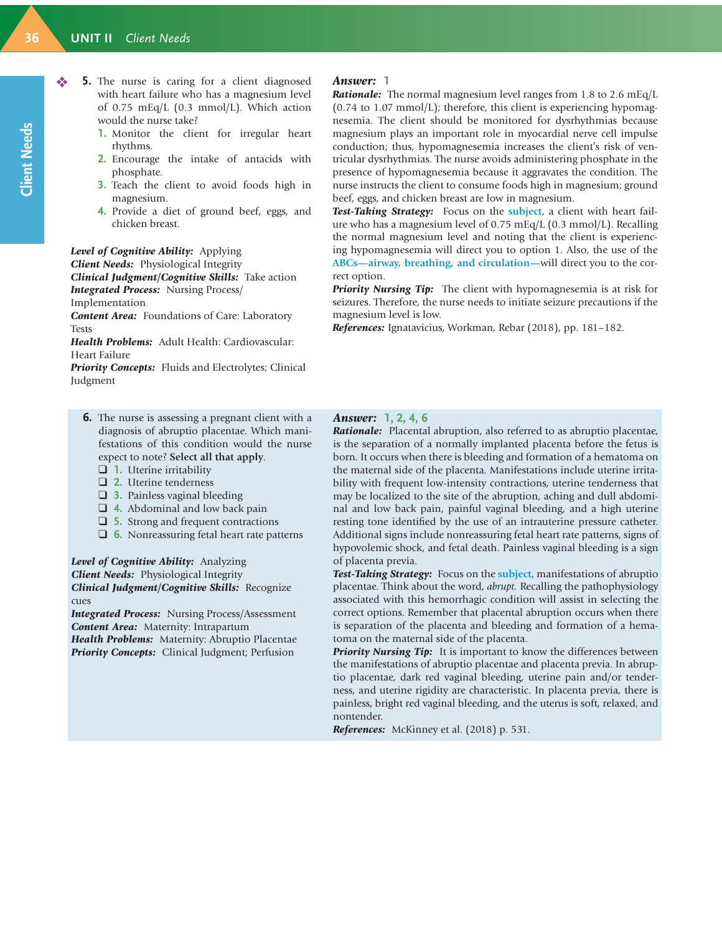- **5.** The nurse is caring for a client diagnosed with heart failure who has a magnesium level of 0.75 mEq/L (0.3 mmol/L). Which action would the nurse take?
	- **1.** Monitor the client for irregular heart rhythms.
	- **2.** Encourage the intake of antacids with phosphate.
	- **3.** Teach the client to avoid foods high in magnesium.
	- **4.** Provide a diet of ground beef, eggs, and chicken breast.

*Level of Cognitive Ability:* Applying *Client Needs:* Physiological Integrity *Clinical Judgment/Cognitive Skills:* Take action *Integrated Process:* Nursing Process/

Implementation *Content Area:* Foundations of Care: Laboratory Tests

*Health Problems:* Adult Health: Cardiovascular: Heart Failure

*Priority Concepts:* Fluids and Electrolytes; Clinical Judgment

- **6.** The nurse is assessing a pregnant client with a diagnosis of abruptio placentae. Which manifestations of this condition would the nurse expect to note? **Select all that apply**.
	- **1.** Uterine irritability
	- **2.** Uterine tenderness
	- **3.** Painless vaginal bleeding
	- **4.** Abdominal and low back pain
	- **5.** Strong and frequent contractions
	- **6.** Nonreassuring fetal heart rate patterns

*Level of Cognitive Ability:* Analyzing *Client Needs:* Physiological Integrity *Clinical Judgment/Cognitive Skills:* Recognize cues

*Integrated Process:* Nursing Process/Assessment *Content Area:* Maternity: Intrapartum *Health Problems:* Maternity: Abruptio Placentae **Priority Concepts:** Clinical Judgment; Perfusion

#### *Answer:* **1**

*Rationale:* The normal magnesium level ranges from 1.8 to 2.6 mEq/L  $(0.74 \text{ to } 1.07 \text{ mmol/L})$ ; therefore, this client is experiencing hypomagnesemia. The client should be monitored for dysrhythmias because magnesium plays an important role in myocardial nerve cell impulse conduction; thus, hypomagnesemia increases the client's risk of ventricular dysrhythmias. The nurse avoids administering phosphate in the presence of hypomagnesemia because it aggravates the condition. The nurse instructs the client to consume foods high in magnesium; ground beef, eggs, and chicken breast are low in magnesium.

**Test-Taking Strategy:** Focus on the **subject**, a client with heart failure who has a magnesium level of 0.75 mEq/L (0.3 mmol/L). Recalling the normal magnesium level and noting that the client is experiencing hypomagnesemia will direct you to option 1. Also, the use of the **ABCs—airway, breathing, and circulation—**will direct you to the correct option.

*Priority Nursing Tip:* The client with hypomagnesemia is at risk for seizures. Therefore, the nurse needs to initiate seizure precautions if the magnesium level is low.

*References:* Ignatavicius, Workman, Rebar (2018), pp. 181–182.

#### *Answer:* **1, 2, 4, 6**

*Rationale:* Placental abruption, also referred to as abruptio placentae, is the separation of a normally implanted placenta before the fetus is born. It occurs when there is bleeding and formation of a hematoma on the maternal side of the placenta. Manifestations include uterine irritability with frequent low-intensity contractions, uterine tenderness that may be localized to the site of the abruption, aching and dull abdominal and low back pain, painful vaginal bleeding, and a high uterine resting tone identified by the use of an intrauterine pressure catheter. Additional signs include nonreassuring fetal heart rate patterns, signs of hypovolemic shock, and fetal death. Painless vaginal bleeding is a sign of placenta previa.

**Test-Taking Strategy:** Focus on the **subject**, manifestations of abruptio placentae. Think about the word, *abrupt.* Recalling the pathophysiology associated with this hemorrhagic condition will assist in selecting the correct options. Remember that placental abruption occurs when there is separation of the placenta and bleeding and formation of a hematoma on the maternal side of the placenta.

*Priority Nursing Tip:* It is important to know the differences between the manifestations of abruptio placentae and placenta previa. In abruptio placentae, dark red vaginal bleeding, uterine pain and/or tenderness, and uterine rigidity are characteristic. In placenta previa, there is painless, bright red vaginal bleeding, and the uterus is soft, relaxed, and nontender.

*References:* McKinney et al. (2018) p. 531.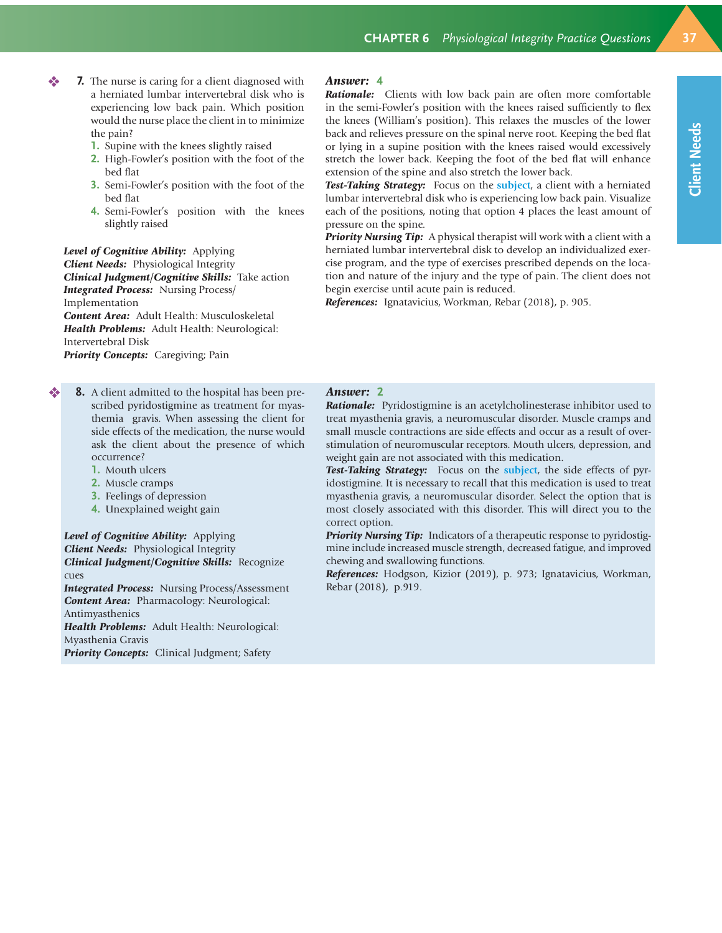- **1.** Supine with the knees slightly raised
- **2.** High-Fowler's position with the foot of the bed flat
- **3.** Semi-Fowler's position with the foot of the bed flat
- **4.** Semi-Fowler's position with the knees slightly raised

*Level of Cognitive Ability:* Applying *Client Needs:* Physiological Integrity *Clinical Judgment/Cognitive Skills:* Take action *Integrated Process:* Nursing Process/ Implementation *Content Area:* Adult Health: Musculoskeletal *Health Problems:* Adult Health: Neurological: Intervertebral Disk **Priority Concepts:** Caregiving; Pain

- ❖ **8.** A client admitted to the hospital has been prescribed pyridostigmine as treatment for myasthemia gravis. When assessing the client for side effects of the medication, the nurse would ask the client about the presence of which occurrence?
	- **1.** Mouth ulcers
	- **2.** Muscle cramps
	- **3.** Feelings of depression
	- **4.** Unexplained weight gain

*Level of Cognitive Ability:* Applying *Client Needs:* Physiological Integrity *Clinical Judgment/Cognitive Skills:* Recognize

cues

*Integrated Process:* Nursing Process/Assessment *Content Area:* Pharmacology: Neurological: Antimyasthenics

*Health Problems:* Adult Health: Neurological: Myasthenia Gravis

*Priority Concepts:* Clinical Judgment; Safety

#### *Answer:* **4**

*Rationale:* Clients with low back pain are often more comfortable in the semi-Fowler's position with the knees raised sufficiently to flex the knees (William's position). This relaxes the muscles of the lower back and relieves pressure on the spinal nerve root. Keeping the bed flat or lying in a supine position with the knees raised would excessively stretch the lower back. Keeping the foot of the bed flat will enhance extension of the spine and also stretch the lower back.

**Test-Taking Strategy:** Focus on the **subject**, a client with a herniated lumbar intervertebral disk who is experiencing low back pain. Visualize each of the positions, noting that option 4 places the least amount of pressure on the spine.

**Priority Nursing Tip:** A physical therapist will work with a client with a herniated lumbar intervertebral disk to develop an individualized exercise program, and the type of exercises prescribed depends on the location and nature of the injury and the type of pain. The client does not begin exercise until acute pain is reduced.

*References:* Ignatavicius, Workman, Rebar (2018), p. 905.

#### *Answer:* **2**

*Rationale:* Pyridostigmine is an acetylcholinesterase inhibitor used to treat myasthenia gravis, a neuromuscular disorder. Muscle cramps and small muscle contractions are side effects and occur as a result of overstimulation of neuromuscular receptors. Mouth ulcers, depression, and weight gain are not associated with this medication.

*Test-Taking Strategy:* Focus on the **subject**, the side effects of pyridostigmine. It is necessary to recall that this medication is used to treat myasthenia gravis, a neuromuscular disorder. Select the option that is most closely associated with this disorder. This will direct you to the correct option.

*Priority Nursing Tip:* Indicators of a therapeutic response to pyridostigmine include increased muscle strength, decreased fatigue, and improved chewing and swallowing functions.

*References:* Hodgson, Kizior (2019), p. 973; Ignatavicius, Workman, Rebar (2018), p.919.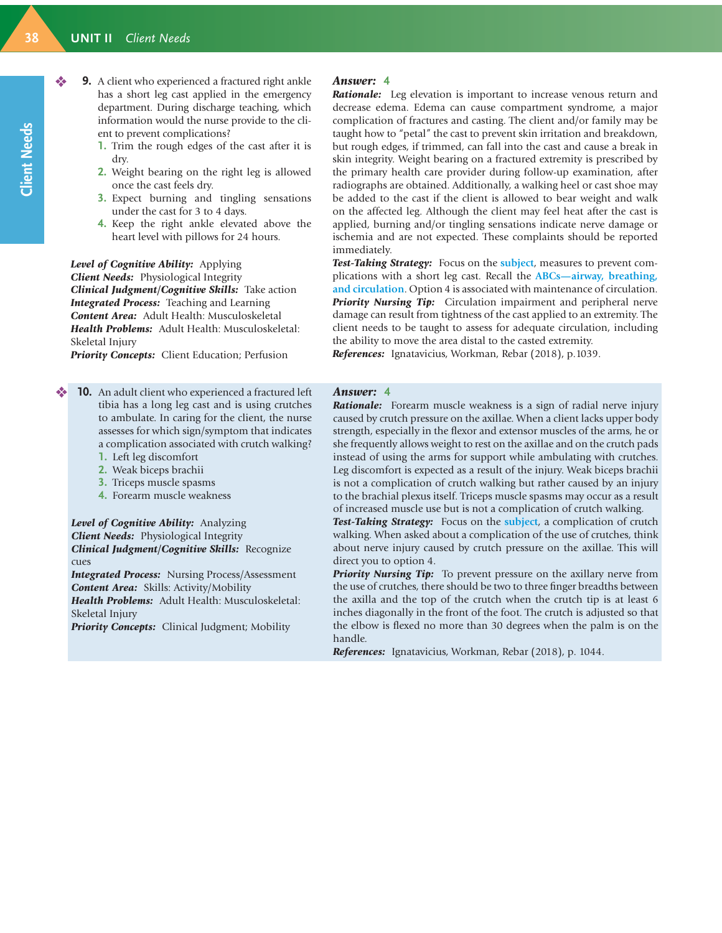- **9.** A client who experienced a fractured right ankle has a short leg cast applied in the emergency department. During discharge teaching, which information would the nurse provide to the client to prevent complications?
	- **1.** Trim the rough edges of the cast after it is dry.
	- **2.** Weight bearing on the right leg is allowed once the cast feels dry.
	- **3.** Expect burning and tingling sensations under the cast for 3 to 4 days.
	- **4.** Keep the right ankle elevated above the heart level with pillows for 24 hours.

*Level of Cognitive Ability:* Applying *Client Needs:* Physiological Integrity *Clinical Judgment/Cognitive Skills:* Take action *Integrated Process:* Teaching and Learning *Content Area:* Adult Health: Musculoskeletal *Health Problems:* Adult Health: Musculoskeletal: Skeletal Injury

*Priority Concepts:* Client Education; Perfusion

- **10.** An adult client who experienced a fractured left tibia has a long leg cast and is using crutches to ambulate. In caring for the client, the nurse assesses for which sign/symptom that indicates a complication associated with crutch walking?
	- **1.** Left leg discomfort
	- **2.** Weak biceps brachii
	- **3.** Triceps muscle spasms
	- **4.** Forearm muscle weakness

*Level of Cognitive Ability:* Analyzing *Client Needs:* Physiological Integrity *Clinical Judgment/Cognitive Skills:* Recognize cues

*Integrated Process:* Nursing Process/Assessment *Content Area:* Skills: Activity/Mobility *Health Problems:* Adult Health: Musculoskeletal: Skeletal Injury

**Priority Concepts:** Clinical Judgment; Mobility

#### *Answer:* **4**

*Rationale:* Leg elevation is important to increase venous return and decrease edema. Edema can cause compartment syndrome, a major complication of fractures and casting. The client and/or family may be taught how to "petal" the cast to prevent skin irritation and breakdown, but rough edges, if trimmed, can fall into the cast and cause a break in skin integrity. Weight bearing on a fractured extremity is prescribed by the primary health care provider during follow-up examination, after radiographs are obtained. Additionally, a walking heel or cast shoe may be added to the cast if the client is allowed to bear weight and walk on the affected leg. Although the client may feel heat after the cast is applied, burning and/or tingling sensations indicate nerve damage or ischemia and are not expected. These complaints should be reported immediately.

*Test-Taking Strategy:* Focus on the **subject**, measures to prevent complications with a short leg cast. Recall the **ABCs—airway, breathing, and circulation**. Option 4 is associated with maintenance of circulation. *Priority Nursing Tip:* Circulation impairment and peripheral nerve damage can result from tightness of the cast applied to an extremity. The client needs to be taught to assess for adequate circulation, including the ability to move the area distal to the casted extremity. *References:* Ignatavicius, Workman, Rebar (2018), p.1039.

#### *Answer:* **4**

*Rationale:* Forearm muscle weakness is a sign of radial nerve injury caused by crutch pressure on the axillae. When a client lacks upper body strength, especially in the flexor and extensor muscles of the arms, he or she frequently allows weight to rest on the axillae and on the crutch pads instead of using the arms for support while ambulating with crutches. Leg discomfort is expected as a result of the injury. Weak biceps brachii is not a complication of crutch walking but rather caused by an injury to the brachial plexus itself. Triceps muscle spasms may occur as a result of increased muscle use but is not a complication of crutch walking.

**Test-Taking Strategy:** Focus on the **subject**, a complication of crutch walking. When asked about a complication of the use of crutches, think about nerve injury caused by crutch pressure on the axillae. This will direct you to option 4.

*Priority Nursing Tip:* To prevent pressure on the axillary nerve from the use of crutches, there should be two to three finger breadths between the axilla and the top of the crutch when the crutch tip is at least 6 inches diagonally in the front of the foot. The crutch is adjusted so that the elbow is flexed no more than 30 degrees when the palm is on the handle.

*References:* Ignatavicius, Workman, Rebar (2018), p. 1044.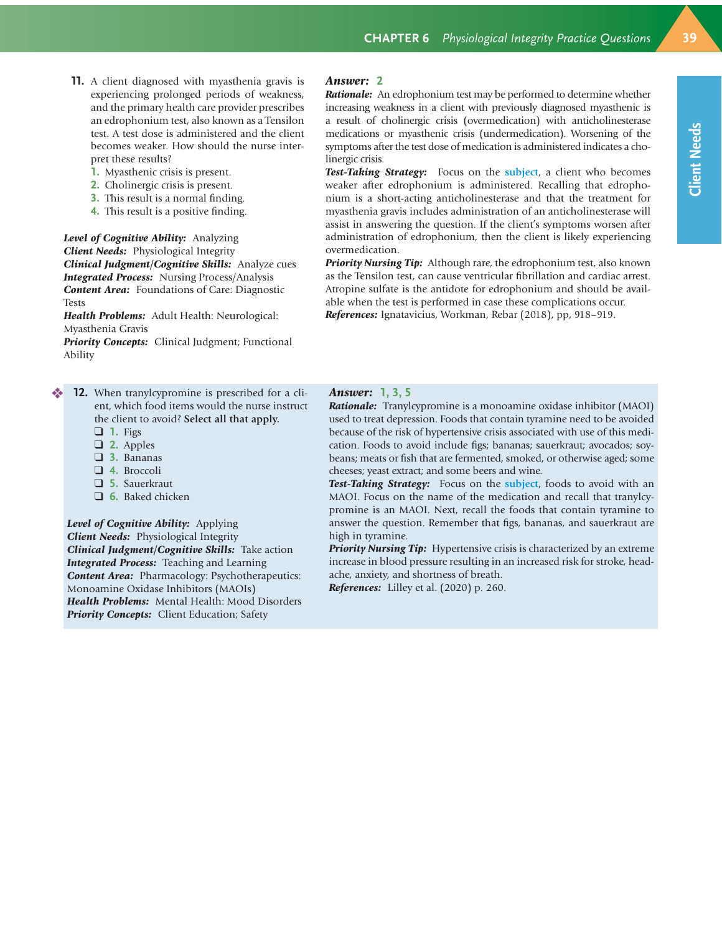*Rationale:* An edrophonium test may be performed to determine whether increasing weakness in a client with previously diagnosed myasthenic is a result of cholinergic crisis (overmedication) with anticholinesterase medications or myasthenic crisis (undermedication). Worsening of the symptoms after the test dose of medication is administered indicates a cholinergic crisis.

**CHAPTER 6** *Physiological Integrity Practice Questions* 

*Test-Taking Strategy:* Focus on the **subject**, a client who becomes weaker after edrophonium is administered. Recalling that edrophonium is a short-acting anticholinesterase and that the treatment for myasthenia gravis includes administration of an anticholinesterase will assist in answering the question. If the client's symptoms worsen after administration of edrophonium, then the client is likely experiencing overmedication.

**Priority Nursing Tip:** Although rare, the edrophonium test, also known as the Tensilon test, can cause ventricular fibrillation and cardiac arrest. Atropine sulfate is the antidote for edrophonium and should be available when the test is performed in case these complications occur. *References:* Ignatavicius, Workman, Rebar (2018), pp, 918–919.

**11.** A client diagnosed with myasthenia gravis is experiencing prolonged periods of weakness, and the primary health care provider prescribes an edrophonium test, also known as a Tensilon test. A test dose is administered and the client becomes weaker. How should the nurse interpret these results?

- **1.** Myasthenic crisis is present.
- **2.** Cholinergic crisis is present.
- **3.** This result is a normal finding.
- **4.** This result is a positive finding.

*Level of Cognitive Ability:* Analyzing *Client Needs:* Physiological Integrity *Clinical Judgment/Cognitive Skills:* Analyze cues *Integrated Process:* Nursing Process/Analysis *Content Area:* Foundations of Care: Diagnostic Tests

*Health Problems:* Adult Health: Neurological: Myasthenia Gravis

**Priority Concepts:** Clinical Judgment; Functional Ability

- **12.** When tranylcypromine is prescribed for a client, which food items would the nurse instruct the client to avoid? **Select all that apply.**
	- **1.** Figs
	- **2.** Apples
	- **3.** Bananas
	- **4.** Broccoli
	- **5.** Sauerkraut
	- **6.** Baked chicken

*Level of Cognitive Ability:* Applying *Client Needs:* Physiological Integrity *Clinical Judgment/Cognitive Skills:* Take action *Integrated Process:* Teaching and Learning *Content Area:* Pharmacology: Psychotherapeutics: Monoamine Oxidase Inhibitors (MAOIs) *Health Problems:* Mental Health: Mood Disorders *Priority Concepts:* Client Education; Safety

#### *Answer:* **1, 3, 5**

*Rationale:* Tranylcypromine is a monoamine oxidase inhibitor (MAOI) used to treat depression. Foods that contain tyramine need to be avoided because of the risk of hypertensive crisis associated with use of this medication. Foods to avoid include figs; bananas; sauerkraut; avocados; soybeans; meats or fish that are fermented, smoked, or otherwise aged; some cheeses; yeast extract; and some beers and wine.

*Test-Taking Strategy:* Focus on the **subject**, foods to avoid with an MAOI. Focus on the name of the medication and recall that tranylcypromine is an MAOI. Next, recall the foods that contain tyramine to answer the question. Remember that figs, bananas, and sauerkraut are high in tyramine.

**Priority Nursing Tip:** Hypertensive crisis is characterized by an extreme increase in blood pressure resulting in an increased risk for stroke, headache, anxiety, and shortness of breath.

*References:* Lilley et al. (2020) p. 260.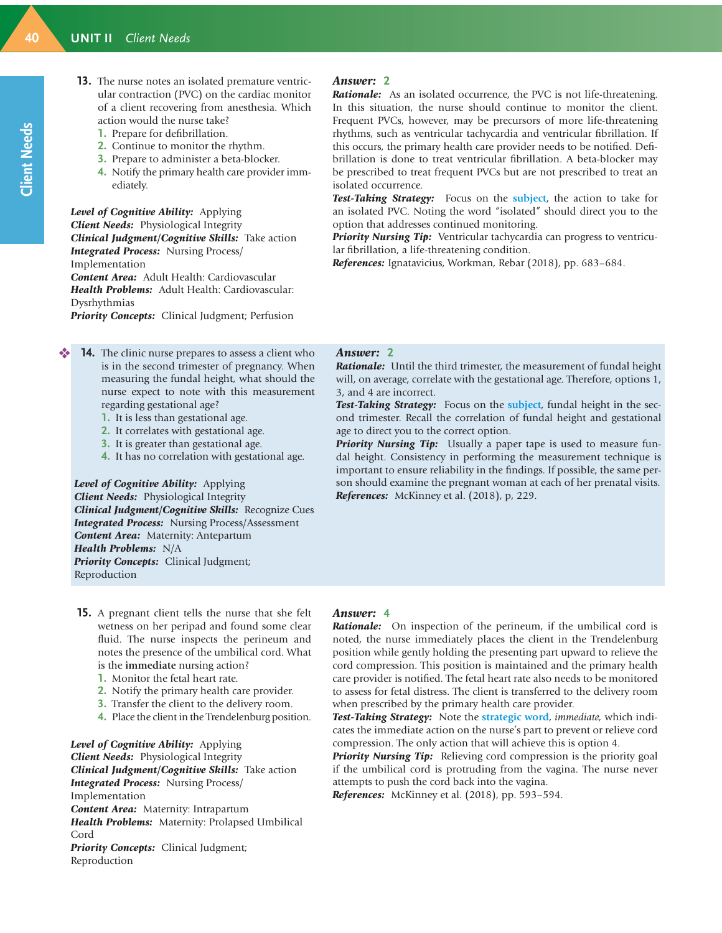- **13.** The nurse notes an isolated premature ventricular contraction (PVC) on the cardiac monitor of a client recovering from anesthesia. Which action would the nurse take? **1.** Prepare for defibrillation.
	- **2.** Continue to monitor the rhythm.
	- **3.** Prepare to administer a beta-blocker.
	- **4.** Notify the primary health care provider immediately.

*Level of Cognitive Ability:* Applying *Client Needs:* Physiological Integrity *Clinical Judgment/Cognitive Skills:* Take action *Integrated Process:* Nursing Process/ Implementation *Content Area:* Adult Health: Cardiovascular *Health Problems:* Adult Health: Cardiovascular: Dysrhythmias **Priority Concepts:** Clinical Judgment; Perfusion

- **14.** The clinic nurse prepares to assess a client who is in the second trimester of pregnancy. When measuring the fundal height, what should the nurse expect to note with this measurement regarding gestational age?
	- **1.** It is less than gestational age.
	- **2.** It correlates with gestational age.
	- **3.** It is greater than gestational age.
	- **4.** It has no correlation with gestational age.

*Level of Cognitive Ability:* Applying *Client Needs:* Physiological Integrity *Clinical Judgment/Cognitive Skills:* Recognize Cues *Integrated Process:* Nursing Process/Assessment *Content Area:* Maternity: Antepartum *Health Problems:* N/A *Priority Concepts:* Clinical Judgment; Reproduction

- **15.** A pregnant client tells the nurse that she felt wetness on her peripad and found some clear fluid. The nurse inspects the perineum and notes the presence of the umbilical cord. What is the **immediate** nursing action?
	- **1.** Monitor the fetal heart rate.
	- **2.** Notify the primary health care provider.
	- **3.** Transfer the client to the delivery room.
	- **4.** Place the client in the Trendelenburg position.

*Level of Cognitive Ability:* Applying *Client Needs:* Physiological Integrity *Clinical Judgment/Cognitive Skills:* Take action *Integrated Process:* Nursing Process/ Implementation

*Content Area:* Maternity: Intrapartum

*Health Problems:* Maternity: Prolapsed Umbilical Cord

*Priority Concepts:* Clinical Judgment; Reproduction

#### *Answer:* **2**

*Rationale:* As an isolated occurrence, the PVC is not life-threatening. In this situation, the nurse should continue to monitor the client. Frequent PVCs, however, may be precursors of more life-threatening rhythms, such as ventricular tachycardia and ventricular fibrillation. If this occurs, the primary health care provider needs to be notified. Defibrillation is done to treat ventricular fibrillation. A beta-blocker may be prescribed to treat frequent PVCs but are not prescribed to treat an isolated occurrence.

**Test-Taking Strategy:** Focus on the **subject**, the action to take for an isolated PVC. Noting the word "isolated" should direct you to the option that addresses continued monitoring.

*Priority Nursing Tip: Ventricular tachycardia can progress to ventricu*lar fibrillation, a life-threatening condition.

*References:* Ignatavicius, Workman, Rebar (2018), pp. 683–684.

#### *Answer:* **2**

*Rationale:* Until the third trimester, the measurement of fundal height will, on average, correlate with the gestational age. Therefore, options 1, 3, and 4 are incorrect.

*Test-Taking Strategy:* Focus on the **subject**, fundal height in the second trimester. Recall the correlation of fundal height and gestational age to direct you to the correct option.

*Priority Nursing Tip:* Usually a paper tape is used to measure fundal height. Consistency in performing the measurement technique is important to ensure reliability in the findings. If possible, the same person should examine the pregnant woman at each of her prenatal visits. *References:* McKinney et al. (2018), p, 229.

#### *Answer:* **4**

*Rationale:* On inspection of the perineum, if the umbilical cord is noted, the nurse immediately places the client in the Trendelenburg position while gently holding the presenting part upward to relieve the cord compression. This position is maintained and the primary health care provider is notified. The fetal heart rate also needs to be monitored to assess for fetal distress. The client is transferred to the delivery room when prescribed by the primary health care provider.

*Test-Taking Strategy:* Note the **strategic word**, *immediate,* which indicates the immediate action on the nurse's part to prevent or relieve cord compression. The only action that will achieve this is option 4.

*Priority Nursing Tip:* Relieving cord compression is the priority goal if the umbilical cord is protruding from the vagina. The nurse never attempts to push the cord back into the vagina.

*References:* McKinney et al. (2018), pp. 593–594.